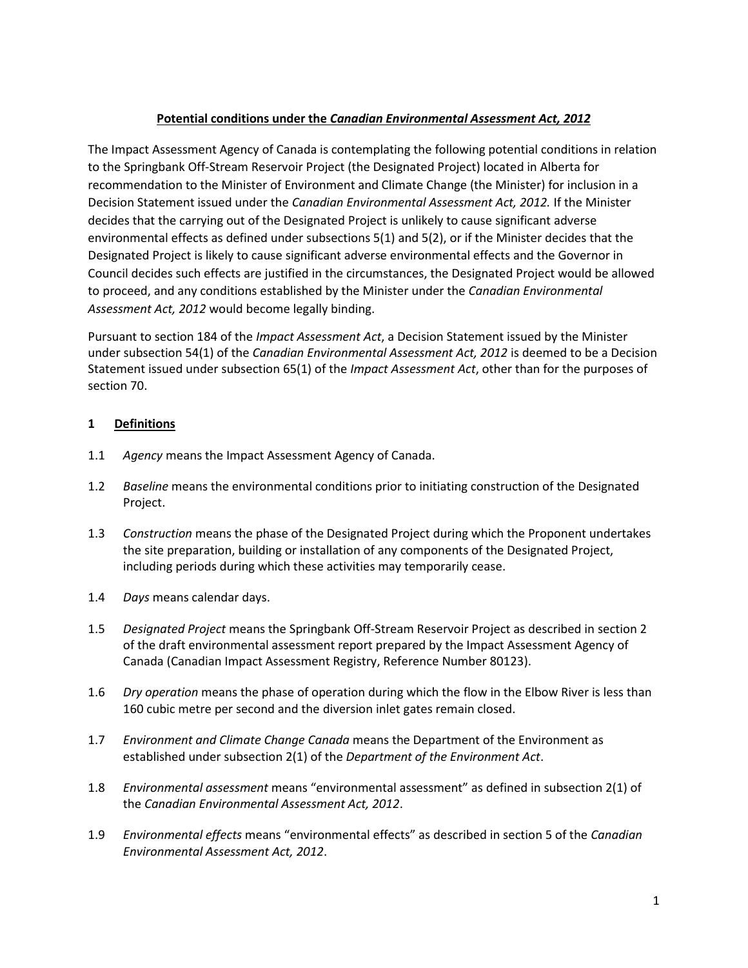# **Potential conditions under the** *Canadian Environmental Assessment Act, 2012*

The Impact Assessment Agency of Canada is contemplating the following potential conditions in relation to the Springbank Off-Stream Reservoir Project (the Designated Project) located in Alberta for recommendation to the Minister of Environment and Climate Change (the Minister) for inclusion in a Decision Statement issued under the *Canadian Environmental Assessment Act, 2012.* If the Minister decides that the carrying out of the Designated Project is unlikely to cause significant adverse environmental effects as defined under subsections 5(1) and 5(2), or if the Minister decides that the Designated Project is likely to cause significant adverse environmental effects and the Governor in Council decides such effects are justified in the circumstances, the Designated Project would be allowed to proceed, and any conditions established by the Minister under the *Canadian Environmental Assessment Act, 2012* would become legally binding.

Pursuant to section 184 of the *Impact Assessment Act*, a Decision Statement issued by the Minister under subsection 54(1) of the *Canadian Environmental Assessment Act, 2012* is deemed to be a Decision Statement issued under subsection 65(1) of the *Impact Assessment Act*, other than for the purposes of section 70.

## **1 Definitions**

- 1.1 *Agency* means the Impact Assessment Agency of Canada.
- 1.2 *Baseline* means the environmental conditions prior to initiating construction of the Designated Project.
- 1.3 *Construction* means the phase of the Designated Project during which the Proponent undertakes the site preparation, building or installation of any components of the Designated Project, including periods during which these activities may temporarily cease.
- 1.4 *Days* means calendar days.
- 1.5 *Designated Project* means the Springbank Off-Stream Reservoir Project as described in section 2 of the draft environmental assessment report prepared by the Impact Assessment Agency of Canada (Canadian Impact Assessment Registry, Reference Number 80123).
- 1.6 *Dry operation* means the phase of operation during which the flow in the Elbow River is less than 160 cubic metre per second and the diversion inlet gates remain closed.
- 1.7 *Environment and Climate Change Canada* means the Department of the Environment as established under subsection 2(1) of the *Department of the Environment Act*.
- 1.8 *Environmental assessment* means "environmental assessment" as defined in subsection 2(1) of the *Canadian Environmental Assessment Act, 2012*.
- 1.9 *Environmental effects* means "environmental effects" as described in section 5 of the *Canadian Environmental Assessment Act, 2012*.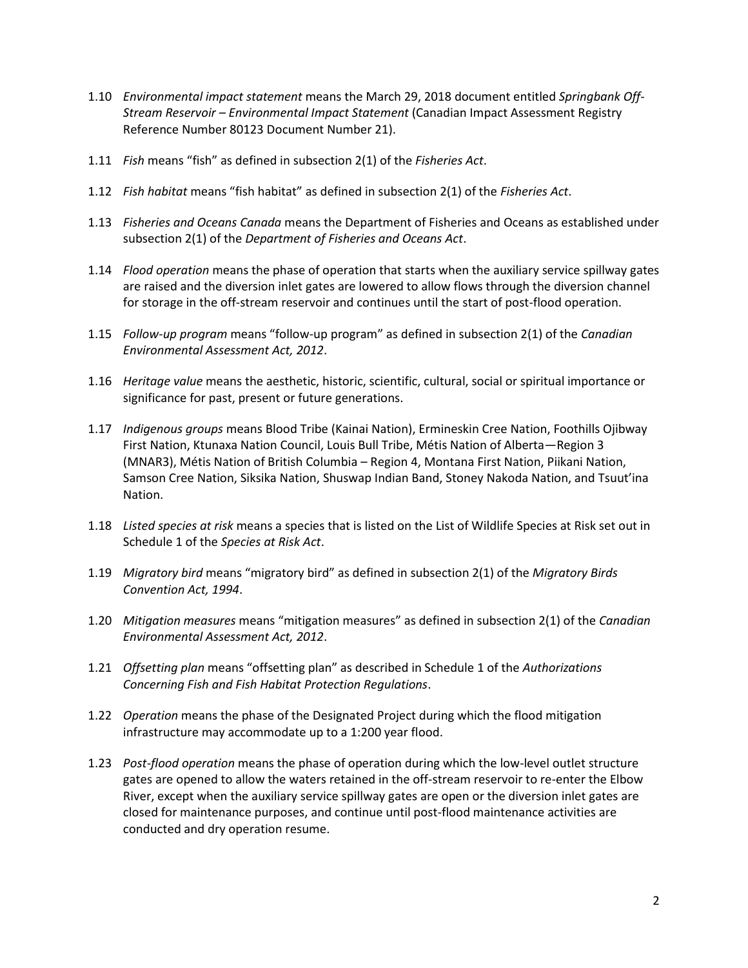- 1.10 *Environmental impact statement* means the March 29, 2018 document entitled *Springbank Off-Stream Reservoir – Environmental Impact Statement* (Canadian Impact Assessment Registry Reference Number 80123 Document Number 21).
- 1.11 *Fish* means "fish" as defined in subsection 2(1) of the *Fisheries Act*.
- 1.12 *Fish habitat* means "fish habitat" as defined in subsection 2(1) of the *Fisheries Act*.
- 1.13 *Fisheries and Oceans Canada* means the Department of Fisheries and Oceans as established under subsection 2(1) of the *Department of Fisheries and Oceans Act*.
- 1.14 *Flood operation* means the phase of operation that starts when the auxiliary service spillway gates are raised and the diversion inlet gates are lowered to allow flows through the diversion channel for storage in the off-stream reservoir and continues until the start of post-flood operation.
- 1.15 *Follow-up program* means "follow-up program" as defined in subsection 2(1) of the *Canadian Environmental Assessment Act, 2012*.
- 1.16 *Heritage value* means the aesthetic, historic, scientific, cultural, social or spiritual importance or significance for past, present or future generations.
- 1.17 *Indigenous groups* means Blood Tribe (Kainai Nation), Ermineskin Cree Nation, Foothills Ojibway First Nation, Ktunaxa Nation Council, Louis Bull Tribe, Métis Nation of Alberta—Region 3 (MNAR3), Métis Nation of British Columbia – Region 4, Montana First Nation, Piikani Nation, Samson Cree Nation, Siksika Nation, Shuswap Indian Band, Stoney Nakoda Nation, and Tsuut'ina Nation.
- 1.18 *Listed species at risk* means a species that is listed on the List of Wildlife Species at Risk set out in Schedule 1 of the *Species at Risk Act*.
- 1.19 *Migratory bird* means "migratory bird" as defined in subsection 2(1) of the *Migratory Birds Convention Act, 1994*.
- 1.20 *Mitigation measures* means "mitigation measures" as defined in subsection 2(1) of the *Canadian Environmental Assessment Act, 2012*.
- 1.21 *Offsetting plan* means "offsetting plan" as described in Schedule 1 of the *Authorizations Concerning Fish and Fish Habitat Protection Regulations*.
- 1.22 *Operation* means the phase of the Designated Project during which the flood mitigation infrastructure may accommodate up to a 1:200 year flood.
- 1.23 *Post-flood operation* means the phase of operation during which the low-level outlet structure gates are opened to allow the waters retained in the off-stream reservoir to re-enter the Elbow River, except when the auxiliary service spillway gates are open or the diversion inlet gates are closed for maintenance purposes, and continue until post-flood maintenance activities are conducted and dry operation resume.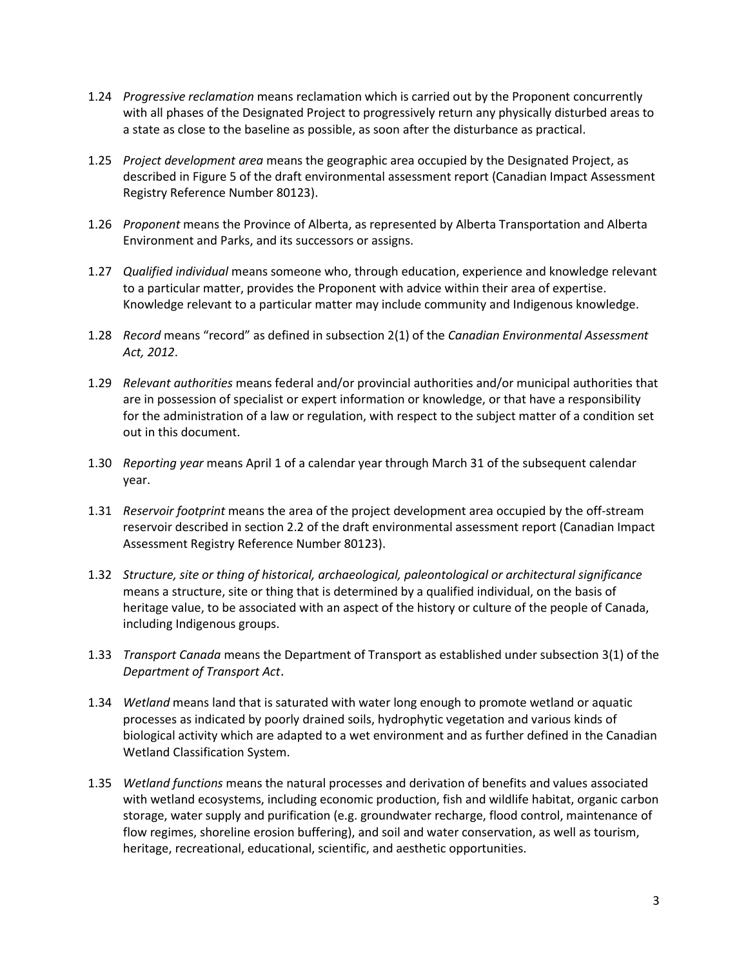- 1.24 *Progressive reclamation* means reclamation which is carried out by the Proponent concurrently with all phases of the Designated Project to progressively return any physically disturbed areas to a state as close to the baseline as possible, as soon after the disturbance as practical.
- 1.25 *Project development area* means the geographic area occupied by the Designated Project, as described in Figure 5 of the draft environmental assessment report (Canadian Impact Assessment Registry Reference Number 80123).
- 1.26 *Proponent* means the Province of Alberta, as represented by Alberta Transportation and Alberta Environment and Parks, and its successors or assigns.
- 1.27 *Qualified individual* means someone who, through education, experience and knowledge relevant to a particular matter, provides the Proponent with advice within their area of expertise. Knowledge relevant to a particular matter may include community and Indigenous knowledge.
- 1.28 *Record* means "record" as defined in subsection 2(1) of the *Canadian Environmental Assessment Act, 2012*.
- 1.29 *Relevant authorities* means federal and/or provincial authorities and/or municipal authorities that are in possession of specialist or expert information or knowledge, or that have a responsibility for the administration of a law or regulation, with respect to the subject matter of a condition set out in this document.
- 1.30 *Reporting year* means April 1 of a calendar year through March 31 of the subsequent calendar year.
- 1.31 *Reservoir footprint* means the area of the project development area occupied by the off-stream reservoir described in section 2.2 of the draft environmental assessment report (Canadian Impact Assessment Registry Reference Number 80123).
- 1.32 *Structure, site or thing of historical, archaeological, paleontological or architectural significance* means a structure, site or thing that is determined by a qualified individual, on the basis of heritage value, to be associated with an aspect of the history or culture of the people of Canada, including Indigenous groups.
- 1.33 *Transport Canada* means the Department of Transport as established under subsection 3(1) of the *Department of Transport Act*.
- 1.34 *Wetland* means land that is saturated with water long enough to promote wetland or aquatic processes as indicated by poorly drained soils, hydrophytic vegetation and various kinds of biological activity which are adapted to a wet environment and as further defined in the Canadian Wetland Classification System.
- 1.35 *Wetland functions* means the natural processes and derivation of benefits and values associated with wetland ecosystems, including economic production, fish and wildlife habitat, organic carbon storage, water supply and purification (e.g. groundwater recharge, flood control, maintenance of flow regimes, shoreline erosion buffering), and soil and water conservation, as well as tourism, heritage, recreational, educational, scientific, and aesthetic opportunities.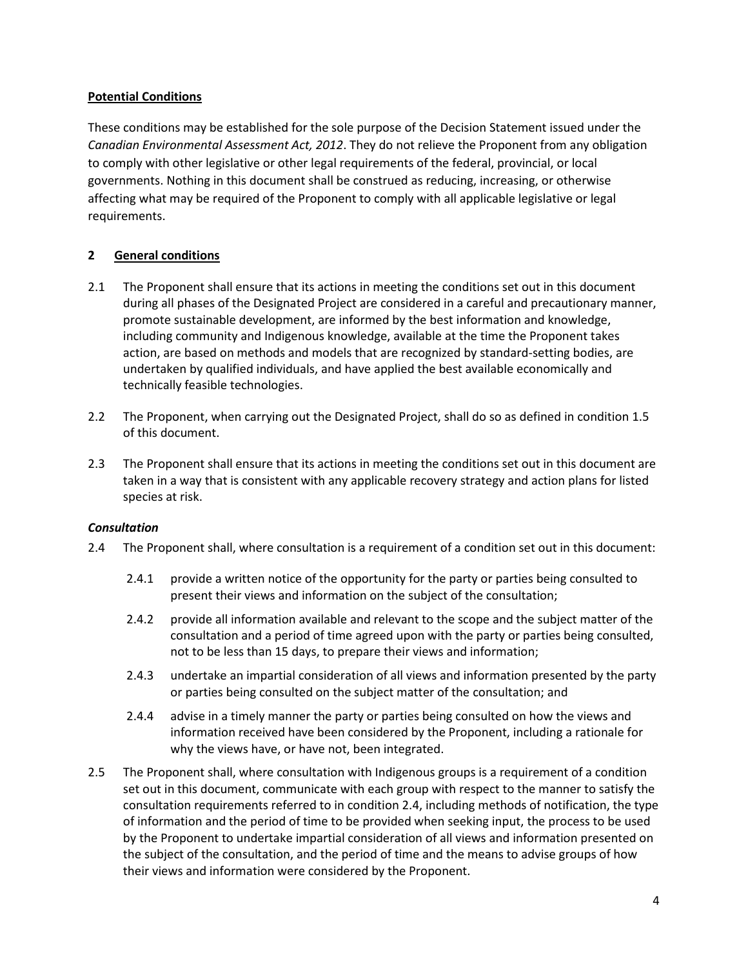## **Potential Conditions**

These conditions may be established for the sole purpose of the Decision Statement issued under the *Canadian Environmental Assessment Act, 2012*. They do not relieve the Proponent from any obligation to comply with other legislative or other legal requirements of the federal, provincial, or local governments. Nothing in this document shall be construed as reducing, increasing, or otherwise affecting what may be required of the Proponent to comply with all applicable legislative or legal requirements.

## **2 General conditions**

- 2.1 The Proponent shall ensure that its actions in meeting the conditions set out in this document during all phases of the Designated Project are considered in a careful and precautionary manner, promote sustainable development, are informed by the best information and knowledge, including community and Indigenous knowledge, available at the time the Proponent takes action, are based on methods and models that are recognized by standard-setting bodies, are undertaken by qualified individuals, and have applied the best available economically and technically feasible technologies.
- 2.2 The Proponent, when carrying out the Designated Project, shall do so as defined in condition 1.5 of this document.
- 2.3 The Proponent shall ensure that its actions in meeting the conditions set out in this document are taken in a way that is consistent with any applicable recovery strategy and action plans for listed species at risk.

## *Consultation*

- 2.4 The Proponent shall, where consultation is a requirement of a condition set out in this document:
	- 2.4.1 provide a written notice of the opportunity for the party or parties being consulted to present their views and information on the subject of the consultation;
	- 2.4.2 provide all information available and relevant to the scope and the subject matter of the consultation and a period of time agreed upon with the party or parties being consulted, not to be less than 15 days, to prepare their views and information;
	- 2.4.3 undertake an impartial consideration of all views and information presented by the party or parties being consulted on the subject matter of the consultation; and
	- 2.4.4 advise in a timely manner the party or parties being consulted on how the views and information received have been considered by the Proponent, including a rationale for why the views have, or have not, been integrated.
- 2.5 The Proponent shall, where consultation with Indigenous groups is a requirement of a condition set out in this document, communicate with each group with respect to the manner to satisfy the consultation requirements referred to in condition 2.4, including methods of notification, the type of information and the period of time to be provided when seeking input, the process to be used by the Proponent to undertake impartial consideration of all views and information presented on the subject of the consultation, and the period of time and the means to advise groups of how their views and information were considered by the Proponent.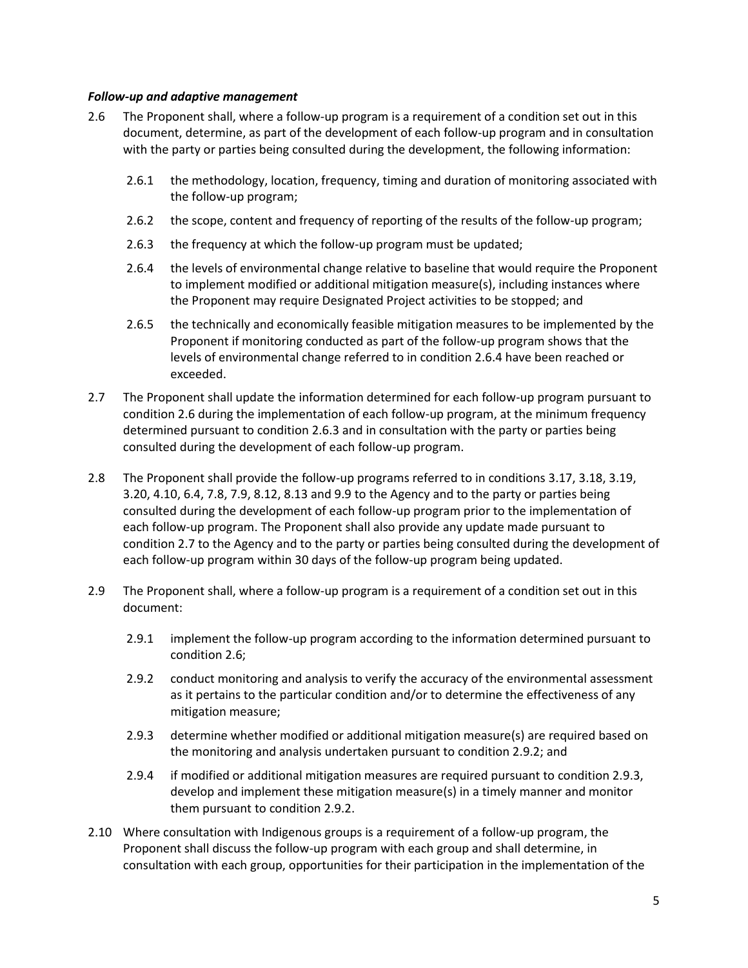### *Follow-up and adaptive management*

- 2.6 The Proponent shall, where a follow-up program is a requirement of a condition set out in this document, determine, as part of the development of each follow-up program and in consultation with the party or parties being consulted during the development, the following information:
	- 2.6.1 the methodology, location, frequency, timing and duration of monitoring associated with the follow-up program;
	- 2.6.2 the scope, content and frequency of reporting of the results of the follow-up program;
	- 2.6.3 the frequency at which the follow-up program must be updated;
	- 2.6.4 the levels of environmental change relative to baseline that would require the Proponent to implement modified or additional mitigation measure(s), including instances where the Proponent may require Designated Project activities to be stopped; and
	- 2.6.5 the technically and economically feasible mitigation measures to be implemented by the Proponent if monitoring conducted as part of the follow-up program shows that the levels of environmental change referred to in condition 2.6.4 have been reached or exceeded.
- 2.7 The Proponent shall update the information determined for each follow-up program pursuant to condition 2.6 during the implementation of each follow-up program, at the minimum frequency determined pursuant to condition 2.6.3 and in consultation with the party or parties being consulted during the development of each follow-up program.
- 2.8 The Proponent shall provide the follow-up programs referred to in conditions 3.17, 3.18, 3.19, 3.20, 4.10, 6.4, 7.8, 7.9, 8.12, 8.13 and 9.9 to the Agency and to the party or parties being consulted during the development of each follow-up program prior to the implementation of each follow-up program. The Proponent shall also provide any update made pursuant to condition 2.7 to the Agency and to the party or parties being consulted during the development of each follow-up program within 30 days of the follow-up program being updated.
- 2.9 The Proponent shall, where a follow-up program is a requirement of a condition set out in this document:
	- 2.9.1 implement the follow-up program according to the information determined pursuant to condition 2.6;
	- 2.9.2 conduct monitoring and analysis to verify the accuracy of the environmental assessment as it pertains to the particular condition and/or to determine the effectiveness of any mitigation measure;
	- 2.9.3 determine whether modified or additional mitigation measure(s) are required based on the monitoring and analysis undertaken pursuant to condition 2.9.2; and
	- 2.9.4 if modified or additional mitigation measures are required pursuant to condition 2.9.3, develop and implement these mitigation measure(s) in a timely manner and monitor them pursuant to condition 2.9.2.
- 2.10 Where consultation with Indigenous groups is a requirement of a follow-up program, the Proponent shall discuss the follow-up program with each group and shall determine, in consultation with each group, opportunities for their participation in the implementation of the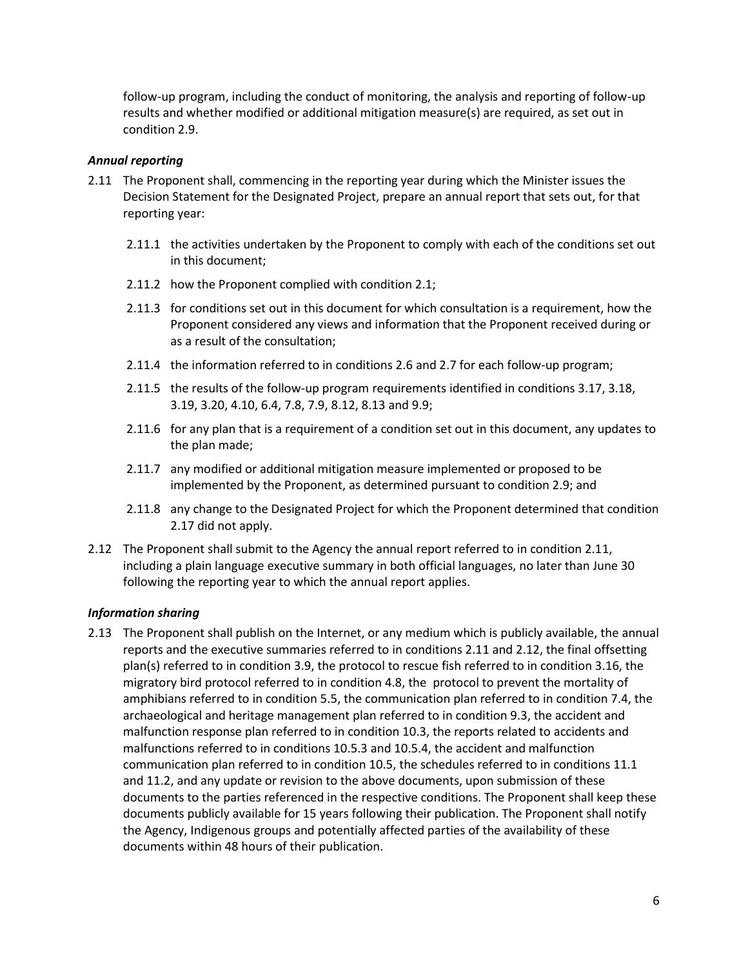follow-up program, including the conduct of monitoring, the analysis and reporting of follow-up results and whether modified or additional mitigation measure(s) are required, as set out in condition 2.9.

## *Annual reporting*

- 2.11 The Proponent shall, commencing in the reporting year during which the Minister issues the Decision Statement for the Designated Project, prepare an annual report that sets out, for that reporting year:
	- 2.11.1 the activities undertaken by the Proponent to comply with each of the conditions set out in this document;
	- 2.11.2 how the Proponent complied with condition 2.1;
	- 2.11.3 for conditions set out in this document for which consultation is a requirement, how the Proponent considered any views and information that the Proponent received during or as a result of the consultation;
	- 2.11.4 the information referred to in conditions 2.6 and 2.7 for each follow-up program;
	- 2.11.5 the results of the follow-up program requirements identified in conditions 3.17, 3.18, 3.19, 3.20, 4.10, 6.4, 7.8, 7.9, 8.12, 8.13 and 9.9;
	- 2.11.6 for any plan that is a requirement of a condition set out in this document, any updates to the plan made;
	- 2.11.7 any modified or additional mitigation measure implemented or proposed to be implemented by the Proponent, as determined pursuant to condition 2.9; and
	- 2.11.8 any change to the Designated Project for which the Proponent determined that condition 2.17 did not apply.
- 2.12 The Proponent shall submit to the Agency the annual report referred to in condition 2.11, including a plain language executive summary in both official languages, no later than June 30 following the reporting year to which the annual report applies.

## *Information sharing*

2.13 The Proponent shall publish on the Internet, or any medium which is publicly available, the annual reports and the executive summaries referred to in conditions 2.11 and 2.12, the final offsetting plan(s) referred to in condition 3.9, the protocol to rescue fish referred to in condition 3.16, the migratory bird protocol referred to in condition 4.8, the protocol to prevent the mortality of amphibians referred to in condition 5.5, the communication plan referred to in condition 7.4, the archaeological and heritage management plan referred to in condition 9.3, the accident and malfunction response plan referred to in condition 10.3, the reports related to accidents and malfunctions referred to in conditions 10.5.3 and 10.5.4, the accident and malfunction communication plan referred to in condition 10.5, the schedules referred to in conditions 11.1 and 11.2, and any update or revision to the above documents, upon submission of these documents to the parties referenced in the respective conditions. The Proponent shall keep these documents publicly available for 15 years following their publication. The Proponent shall notify the Agency, Indigenous groups and potentially affected parties of the availability of these documents within 48 hours of their publication.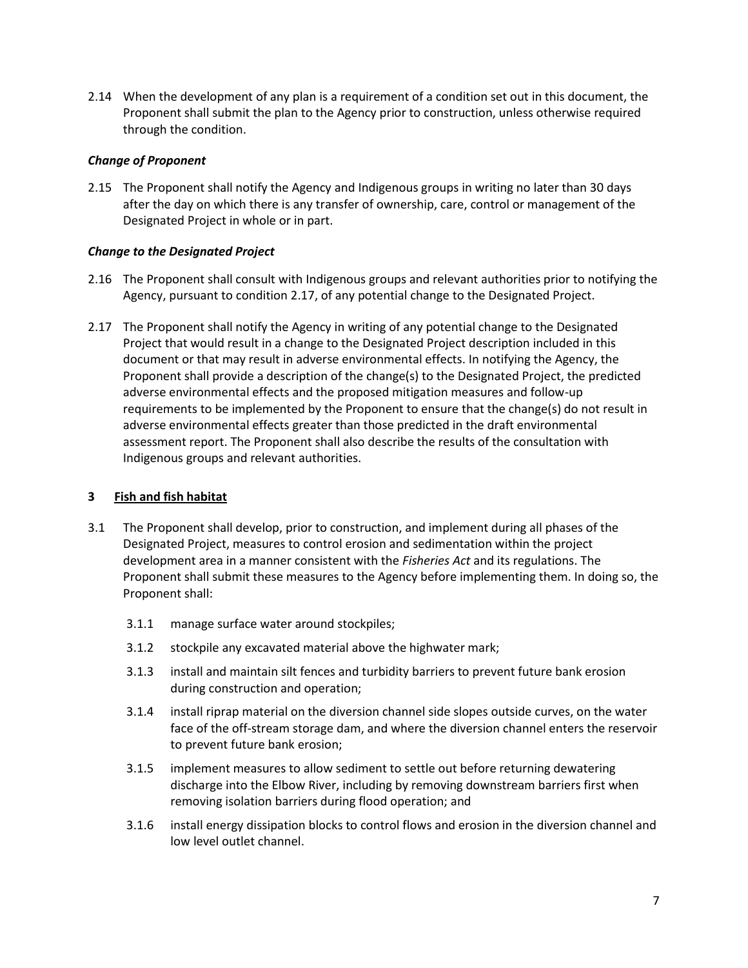2.14 When the development of any plan is a requirement of a condition set out in this document, the Proponent shall submit the plan to the Agency prior to construction, unless otherwise required through the condition.

## *Change of Proponent*

2.15 The Proponent shall notify the Agency and Indigenous groups in writing no later than 30 days after the day on which there is any transfer of ownership, care, control or management of the Designated Project in whole or in part.

## *Change to the Designated Project*

- 2.16 The Proponent shall consult with Indigenous groups and relevant authorities prior to notifying the Agency, pursuant to condition 2.17, of any potential change to the Designated Project.
- 2.17 The Proponent shall notify the Agency in writing of any potential change to the Designated Project that would result in a change to the Designated Project description included in this document or that may result in adverse environmental effects. In notifying the Agency, the Proponent shall provide a description of the change(s) to the Designated Project, the predicted adverse environmental effects and the proposed mitigation measures and follow-up requirements to be implemented by the Proponent to ensure that the change(s) do not result in adverse environmental effects greater than those predicted in the draft environmental assessment report. The Proponent shall also describe the results of the consultation with Indigenous groups and relevant authorities.

#### **3 Fish and fish habitat**

- 3.1 The Proponent shall develop, prior to construction, and implement during all phases of the Designated Project, measures to control erosion and sedimentation within the project development area in a manner consistent with the *Fisheries Act* and its regulations. The Proponent shall submit these measures to the Agency before implementing them. In doing so, the Proponent shall:
	- 3.1.1 manage surface water around stockpiles;
	- 3.1.2 stockpile any excavated material above the highwater mark;
	- 3.1.3 install and maintain silt fences and turbidity barriers to prevent future bank erosion during construction and operation;
	- 3.1.4 install riprap material on the diversion channel side slopes outside curves, on the water face of the off-stream storage dam, and where the diversion channel enters the reservoir to prevent future bank erosion;
	- 3.1.5 implement measures to allow sediment to settle out before returning dewatering discharge into the Elbow River, including by removing downstream barriers first when removing isolation barriers during flood operation; and
	- 3.1.6 install energy dissipation blocks to control flows and erosion in the diversion channel and low level outlet channel.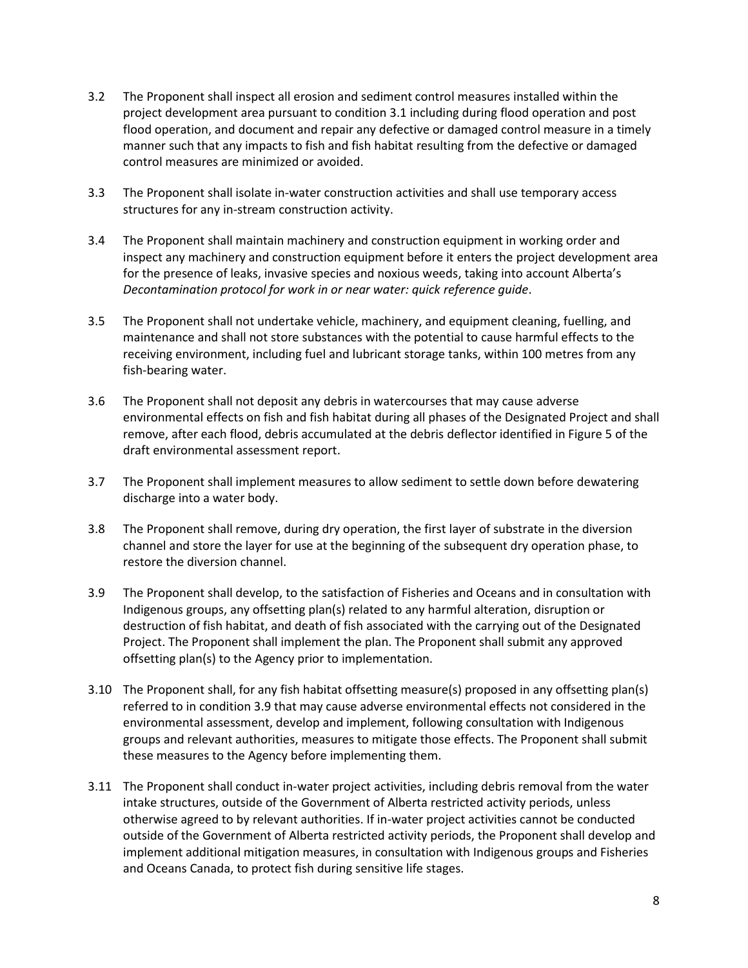- 3.2 The Proponent shall inspect all erosion and sediment control measures installed within the project development area pursuant to condition 3.1 including during flood operation and post flood operation, and document and repair any defective or damaged control measure in a timely manner such that any impacts to fish and fish habitat resulting from the defective or damaged control measures are minimized or avoided.
- 3.3 The Proponent shall isolate in-water construction activities and shall use temporary access structures for any in-stream construction activity.
- 3.4 The Proponent shall maintain machinery and construction equipment in working order and inspect any machinery and construction equipment before it enters the project development area for the presence of leaks, invasive species and noxious weeds, taking into account Alberta's *Decontamination protocol for work in or near water: quick reference guide*.
- 3.5 The Proponent shall not undertake vehicle, machinery, and equipment cleaning, fuelling, and maintenance and shall not store substances with the potential to cause harmful effects to the receiving environment, including fuel and lubricant storage tanks, within 100 metres from any fish-bearing water.
- 3.6 The Proponent shall not deposit any debris in watercourses that may cause adverse environmental effects on fish and fish habitat during all phases of the Designated Project and shall remove, after each flood, debris accumulated at the debris deflector identified in Figure 5 of the draft environmental assessment report.
- 3.7 The Proponent shall implement measures to allow sediment to settle down before dewatering discharge into a water body.
- 3.8 The Proponent shall remove, during dry operation, the first layer of substrate in the diversion channel and store the layer for use at the beginning of the subsequent dry operation phase, to restore the diversion channel.
- 3.9 The Proponent shall develop, to the satisfaction of Fisheries and Oceans and in consultation with Indigenous groups, any offsetting plan(s) related to any harmful alteration, disruption or destruction of fish habitat, and death of fish associated with the carrying out of the Designated Project. The Proponent shall implement the plan. The Proponent shall submit any approved offsetting plan(s) to the Agency prior to implementation.
- 3.10 The Proponent shall, for any fish habitat offsetting measure(s) proposed in any offsetting plan(s) referred to in condition 3.9 that may cause adverse environmental effects not considered in the environmental assessment, develop and implement, following consultation with Indigenous groups and relevant authorities, measures to mitigate those effects. The Proponent shall submit these measures to the Agency before implementing them.
- 3.11 The Proponent shall conduct in-water project activities, including debris removal from the water intake structures, outside of the Government of Alberta restricted activity periods, unless otherwise agreed to by relevant authorities. If in-water project activities cannot be conducted outside of the Government of Alberta restricted activity periods, the Proponent shall develop and implement additional mitigation measures, in consultation with Indigenous groups and Fisheries and Oceans Canada, to protect fish during sensitive life stages.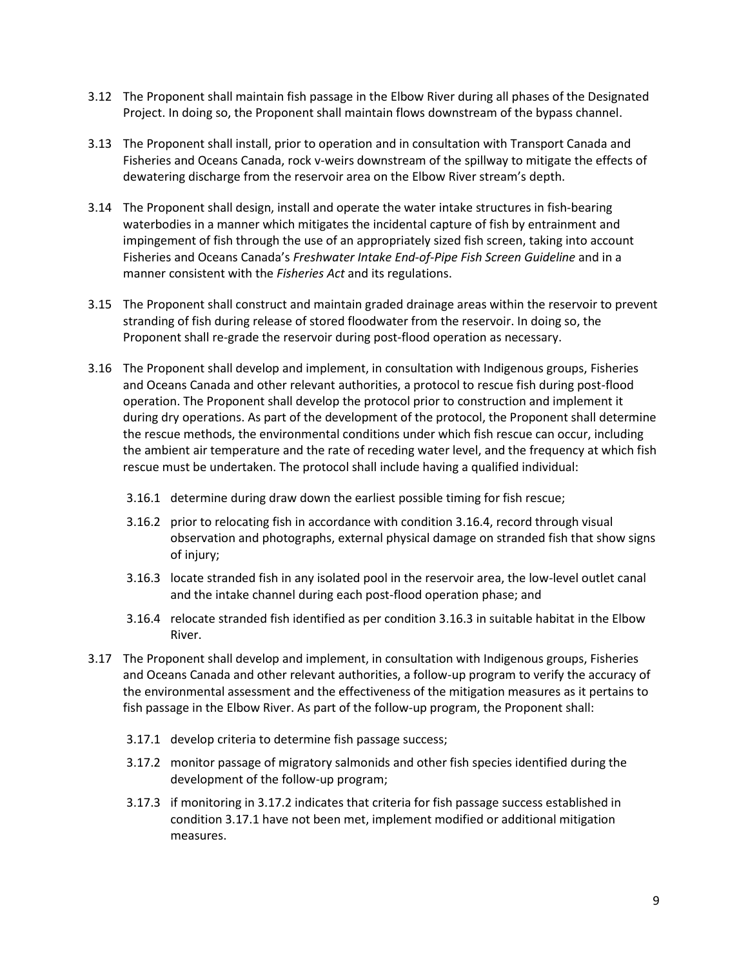- 3.12 The Proponent shall maintain fish passage in the Elbow River during all phases of the Designated Project. In doing so, the Proponent shall maintain flows downstream of the bypass channel.
- 3.13 The Proponent shall install, prior to operation and in consultation with Transport Canada and Fisheries and Oceans Canada, rock v-weirs downstream of the spillway to mitigate the effects of dewatering discharge from the reservoir area on the Elbow River stream's depth.
- 3.14 The Proponent shall design, install and operate the water intake structures in fish-bearing waterbodies in a manner which mitigates the incidental capture of fish by entrainment and impingement of fish through the use of an appropriately sized fish screen, taking into account Fisheries and Oceans Canada's *Freshwater Intake End-of-Pipe Fish Screen Guideline* and in a manner consistent with the *Fisheries Act* and its regulations.
- 3.15 The Proponent shall construct and maintain graded drainage areas within the reservoir to prevent stranding of fish during release of stored floodwater from the reservoir. In doing so, the Proponent shall re-grade the reservoir during post-flood operation as necessary.
- 3.16 The Proponent shall develop and implement, in consultation with Indigenous groups, Fisheries and Oceans Canada and other relevant authorities, a protocol to rescue fish during post-flood operation. The Proponent shall develop the protocol prior to construction and implement it during dry operations. As part of the development of the protocol, the Proponent shall determine the rescue methods, the environmental conditions under which fish rescue can occur, including the ambient air temperature and the rate of receding water level, and the frequency at which fish rescue must be undertaken. The protocol shall include having a qualified individual:
	- 3.16.1 determine during draw down the earliest possible timing for fish rescue;
	- 3.16.2 prior to relocating fish in accordance with condition 3.16.4, record through visual observation and photographs, external physical damage on stranded fish that show signs of injury;
	- 3.16.3 locate stranded fish in any isolated pool in the reservoir area, the low-level outlet canal and the intake channel during each post-flood operation phase; and
	- 3.16.4 relocate stranded fish identified as per condition 3.16.3 in suitable habitat in the Elbow River.
- 3.17 The Proponent shall develop and implement, in consultation with Indigenous groups, Fisheries and Oceans Canada and other relevant authorities, a follow-up program to verify the accuracy of the environmental assessment and the effectiveness of the mitigation measures as it pertains to fish passage in the Elbow River. As part of the follow-up program, the Proponent shall:
	- 3.17.1 develop criteria to determine fish passage success;
	- 3.17.2 monitor passage of migratory salmonids and other fish species identified during the development of the follow-up program;
	- 3.17.3 if monitoring in 3.17.2 indicates that criteria for fish passage success established in condition 3.17.1 have not been met, implement modified or additional mitigation measures.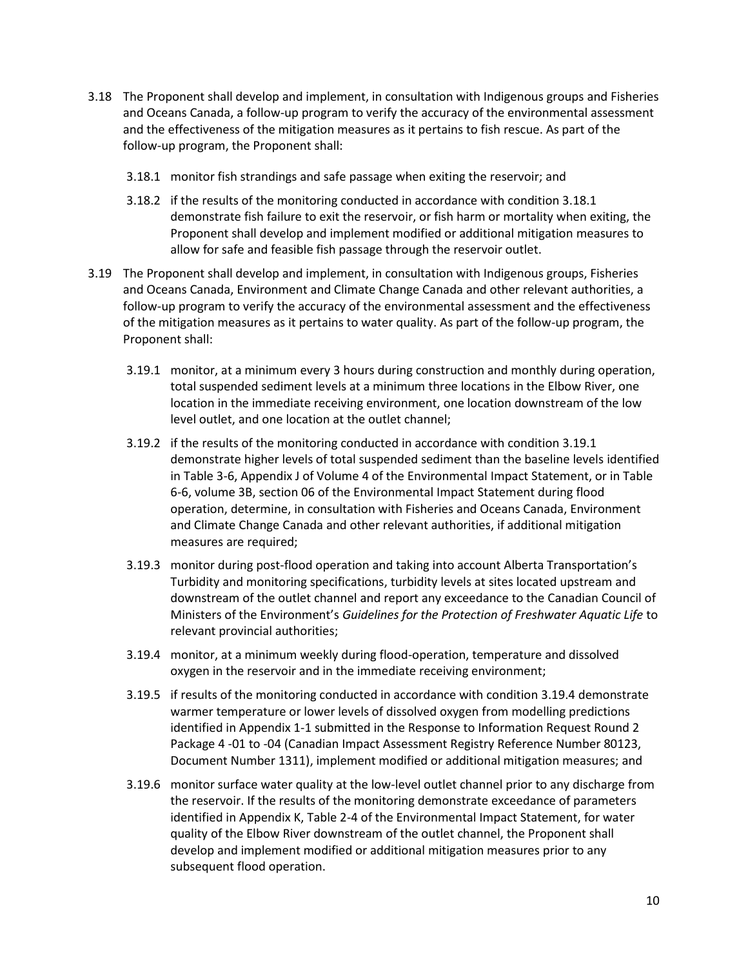- 3.18 The Proponent shall develop and implement, in consultation with Indigenous groups and Fisheries and Oceans Canada, a follow-up program to verify the accuracy of the environmental assessment and the effectiveness of the mitigation measures as it pertains to fish rescue. As part of the follow-up program, the Proponent shall:
	- 3.18.1 monitor fish strandings and safe passage when exiting the reservoir; and
	- 3.18.2 if the results of the monitoring conducted in accordance with condition 3.18.1 demonstrate fish failure to exit the reservoir, or fish harm or mortality when exiting, the Proponent shall develop and implement modified or additional mitigation measures to allow for safe and feasible fish passage through the reservoir outlet.
- 3.19 The Proponent shall develop and implement, in consultation with Indigenous groups, Fisheries and Oceans Canada, Environment and Climate Change Canada and other relevant authorities, a follow-up program to verify the accuracy of the environmental assessment and the effectiveness of the mitigation measures as it pertains to water quality. As part of the follow-up program, the Proponent shall:
	- 3.19.1 monitor, at a minimum every 3 hours during construction and monthly during operation, total suspended sediment levels at a minimum three locations in the Elbow River, one location in the immediate receiving environment, one location downstream of the low level outlet, and one location at the outlet channel;
	- 3.19.2 if the results of the monitoring conducted in accordance with condition 3.19.1 demonstrate higher levels of total suspended sediment than the baseline levels identified in Table 3-6, Appendix J of Volume 4 of the Environmental Impact Statement, or in Table 6-6, volume 3B, section 06 of the Environmental Impact Statement during flood operation, determine, in consultation with Fisheries and Oceans Canada, Environment and Climate Change Canada and other relevant authorities, if additional mitigation measures are required;
	- 3.19.3 monitor during post-flood operation and taking into account Alberta Transportation's Turbidity and monitoring specifications, turbidity levels at sites located upstream and downstream of the outlet channel and report any exceedance to the Canadian Council of Ministers of the Environment's *Guidelines for the Protection of Freshwater Aquatic Life* to relevant provincial authorities;
	- 3.19.4 monitor, at a minimum weekly during flood-operation, temperature and dissolved oxygen in the reservoir and in the immediate receiving environment;
	- 3.19.5 if results of the monitoring conducted in accordance with condition 3.19.4 demonstrate warmer temperature or lower levels of dissolved oxygen from modelling predictions identified in Appendix 1-1 submitted in the Response to Information Request Round 2 Package 4 -01 to -04 (Canadian Impact Assessment Registry Reference Number 80123, Document Number 1311), implement modified or additional mitigation measures; and
	- 3.19.6 monitor surface water quality at the low-level outlet channel prior to any discharge from the reservoir. If the results of the monitoring demonstrate exceedance of parameters identified in Appendix K, Table 2-4 of the Environmental Impact Statement, for water quality of the Elbow River downstream of the outlet channel, the Proponent shall develop and implement modified or additional mitigation measures prior to any subsequent flood operation.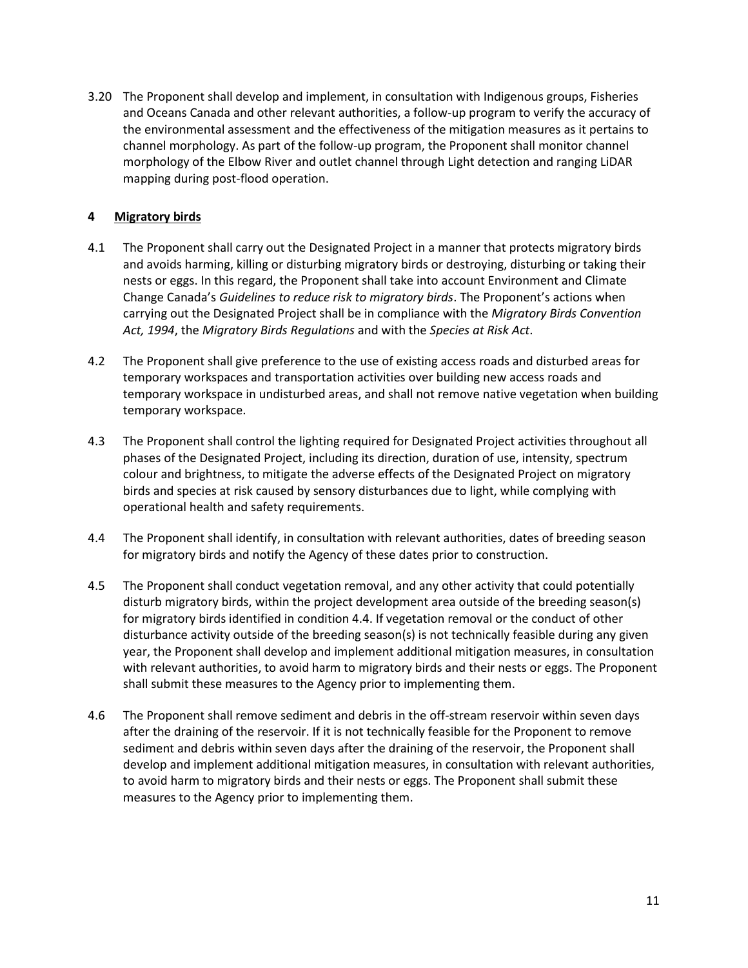3.20 The Proponent shall develop and implement, in consultation with Indigenous groups, Fisheries and Oceans Canada and other relevant authorities, a follow-up program to verify the accuracy of the environmental assessment and the effectiveness of the mitigation measures as it pertains to channel morphology. As part of the follow-up program, the Proponent shall monitor channel morphology of the Elbow River and outlet channel through Light detection and ranging LiDAR mapping during post-flood operation.

## **4 Migratory birds**

- 4.1 The Proponent shall carry out the Designated Project in a manner that protects migratory birds and avoids harming, killing or disturbing migratory birds or destroying, disturbing or taking their nests or eggs. In this regard, the Proponent shall take into account Environment and Climate Change Canada's *Guidelines to reduce risk to migratory birds*. The Proponent's actions when carrying out the Designated Project shall be in compliance with the *Migratory Birds Convention Act, 1994*, the *Migratory Birds Regulations* and with the *Species at Risk Act*.
- 4.2 The Proponent shall give preference to the use of existing access roads and disturbed areas for temporary workspaces and transportation activities over building new access roads and temporary workspace in undisturbed areas, and shall not remove native vegetation when building temporary workspace.
- 4.3 The Proponent shall control the lighting required for Designated Project activities throughout all phases of the Designated Project, including its direction, duration of use, intensity, spectrum colour and brightness, to mitigate the adverse effects of the Designated Project on migratory birds and species at risk caused by sensory disturbances due to light, while complying with operational health and safety requirements.
- 4.4 The Proponent shall identify, in consultation with relevant authorities, dates of breeding season for migratory birds and notify the Agency of these dates prior to construction.
- 4.5 The Proponent shall conduct vegetation removal, and any other activity that could potentially disturb migratory birds, within the project development area outside of the breeding season(s) for migratory birds identified in condition 4.4. If vegetation removal or the conduct of other disturbance activity outside of the breeding season(s) is not technically feasible during any given year, the Proponent shall develop and implement additional mitigation measures, in consultation with relevant authorities, to avoid harm to migratory birds and their nests or eggs. The Proponent shall submit these measures to the Agency prior to implementing them.
- 4.6 The Proponent shall remove sediment and debris in the off-stream reservoir within seven days after the draining of the reservoir. If it is not technically feasible for the Proponent to remove sediment and debris within seven days after the draining of the reservoir, the Proponent shall develop and implement additional mitigation measures, in consultation with relevant authorities, to avoid harm to migratory birds and their nests or eggs. The Proponent shall submit these measures to the Agency prior to implementing them.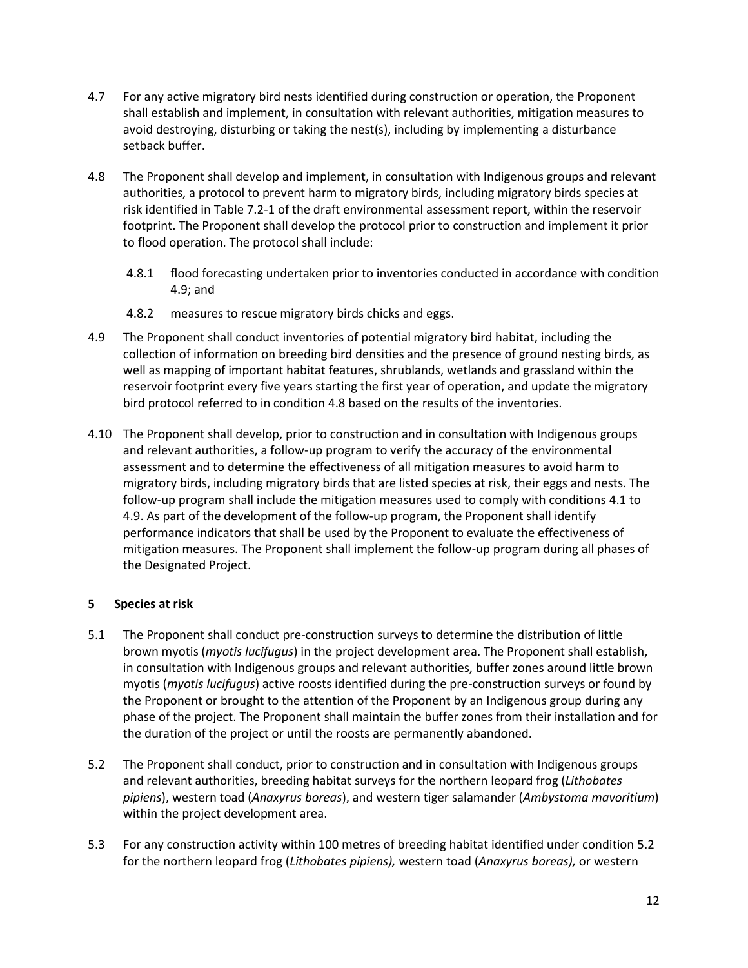- 4.7 For any active migratory bird nests identified during construction or operation, the Proponent shall establish and implement, in consultation with relevant authorities, mitigation measures to avoid destroying, disturbing or taking the nest(s), including by implementing a disturbance setback buffer.
- 4.8 The Proponent shall develop and implement, in consultation with Indigenous groups and relevant authorities, a protocol to prevent harm to migratory birds, including migratory birds species at risk identified in Table 7.2-1 of the draft environmental assessment report, within the reservoir footprint. The Proponent shall develop the protocol prior to construction and implement it prior to flood operation. The protocol shall include:
	- 4.8.1 flood forecasting undertaken prior to inventories conducted in accordance with condition 4.9; and
	- 4.8.2 measures to rescue migratory birds chicks and eggs.
- 4.9 The Proponent shall conduct inventories of potential migratory bird habitat, including the collection of information on breeding bird densities and the presence of ground nesting birds, as well as mapping of important habitat features, shrublands, wetlands and grassland within the reservoir footprint every five years starting the first year of operation, and update the migratory bird protocol referred to in condition 4.8 based on the results of the inventories.
- 4.10 The Proponent shall develop, prior to construction and in consultation with Indigenous groups and relevant authorities, a follow-up program to verify the accuracy of the environmental assessment and to determine the effectiveness of all mitigation measures to avoid harm to migratory birds, including migratory birds that are listed species at risk, their eggs and nests. The follow-up program shall include the mitigation measures used to comply with conditions 4.1 to 4.9. As part of the development of the follow-up program, the Proponent shall identify performance indicators that shall be used by the Proponent to evaluate the effectiveness of mitigation measures. The Proponent shall implement the follow-up program during all phases of the Designated Project.

# **5 Species at risk**

- 5.1 The Proponent shall conduct pre-construction surveys to determine the distribution of little brown myotis (*myotis lucifugus*) in the project development area. The Proponent shall establish, in consultation with Indigenous groups and relevant authorities, buffer zones around little brown myotis (*myotis lucifugus*) active roosts identified during the pre-construction surveys or found by the Proponent or brought to the attention of the Proponent by an Indigenous group during any phase of the project. The Proponent shall maintain the buffer zones from their installation and for the duration of the project or until the roosts are permanently abandoned.
- 5.2 The Proponent shall conduct, prior to construction and in consultation with Indigenous groups and relevant authorities, breeding habitat surveys for the northern leopard frog (*Lithobates pipiens*), western toad (*Anaxyrus boreas*), and western tiger salamander (*Ambystoma mavoritium*) within the project development area.
- 5.3 For any construction activity within 100 metres of breeding habitat identified under condition 5.2 for the northern leopard frog (*Lithobates pipiens),* western toad (*Anaxyrus boreas),* or western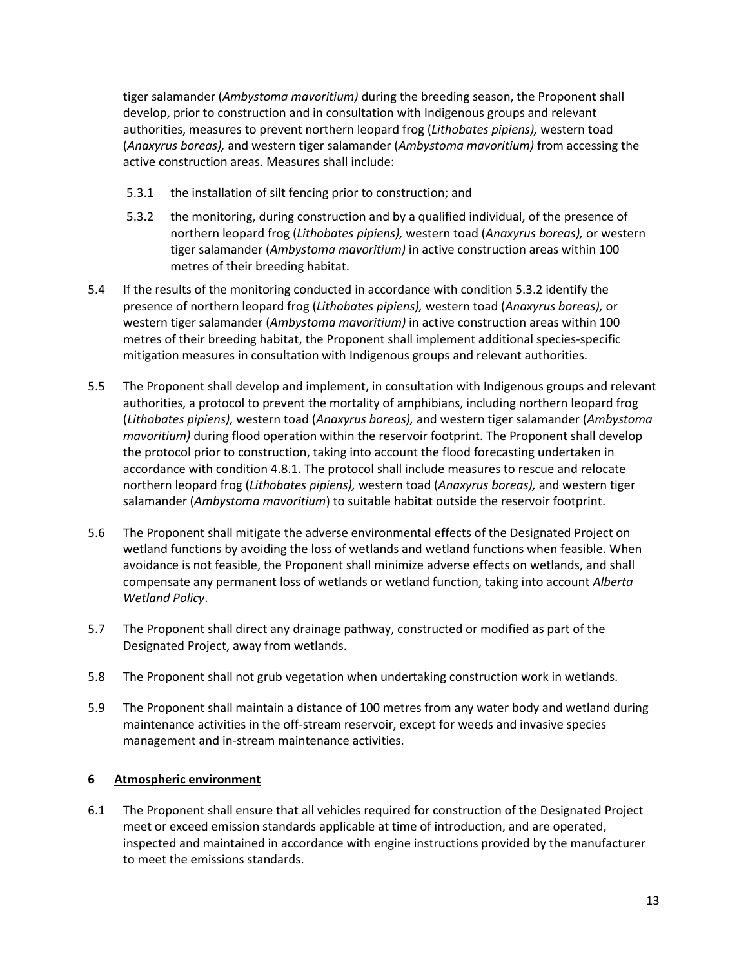tiger salamander (*Ambystoma mavoritium)* during the breeding season, the Proponent shall develop, prior to construction and in consultation with Indigenous groups and relevant authorities, measures to prevent northern leopard frog (*Lithobates pipiens),* western toad (*Anaxyrus boreas),* and western tiger salamander (*Ambystoma mavoritium)* from accessing the active construction areas. Measures shall include:

- 5.3.1 the installation of silt fencing prior to construction; and
- 5.3.2 the monitoring, during construction and by a qualified individual, of the presence of northern leopard frog (*Lithobates pipiens),* western toad (*Anaxyrus boreas),* or western tiger salamander (*Ambystoma mavoritium)* in active construction areas within 100 metres of their breeding habitat.
- 5.4 If the results of the monitoring conducted in accordance with condition 5.3.2 identify the presence of northern leopard frog (*Lithobates pipiens),* western toad (*Anaxyrus boreas),* or western tiger salamander (*Ambystoma mavoritium)* in active construction areas within 100 metres of their breeding habitat, the Proponent shall implement additional species-specific mitigation measures in consultation with Indigenous groups and relevant authorities.
- 5.5 The Proponent shall develop and implement, in consultation with Indigenous groups and relevant authorities, a protocol to prevent the mortality of amphibians, including northern leopard frog (*Lithobates pipiens),* western toad (*Anaxyrus boreas),* and western tiger salamander (*Ambystoma mavoritium)* during flood operation within the reservoir footprint. The Proponent shall develop the protocol prior to construction, taking into account the flood forecasting undertaken in accordance with condition 4.8.1. The protocol shall include measures to rescue and relocate northern leopard frog (*Lithobates pipiens),* western toad (*Anaxyrus boreas),* and western tiger salamander (*Ambystoma mavoritium*) to suitable habitat outside the reservoir footprint.
- 5.6 The Proponent shall mitigate the adverse environmental effects of the Designated Project on wetland functions by avoiding the loss of wetlands and wetland functions when feasible. When avoidance is not feasible, the Proponent shall minimize adverse effects on wetlands, and shall compensate any permanent loss of wetlands or wetland function, taking into account *Alberta Wetland Policy*.
- 5.7 The Proponent shall direct any drainage pathway, constructed or modified as part of the Designated Project, away from wetlands.
- 5.8 The Proponent shall not grub vegetation when undertaking construction work in wetlands.
- 5.9 The Proponent shall maintain a distance of 100 metres from any water body and wetland during maintenance activities in the off-stream reservoir, except for weeds and invasive species management and in-stream maintenance activities.

# **6 Atmospheric environment**

6.1 The Proponent shall ensure that all vehicles required for construction of the Designated Project meet or exceed emission standards applicable at time of introduction, and are operated, inspected and maintained in accordance with engine instructions provided by the manufacturer to meet the emissions standards.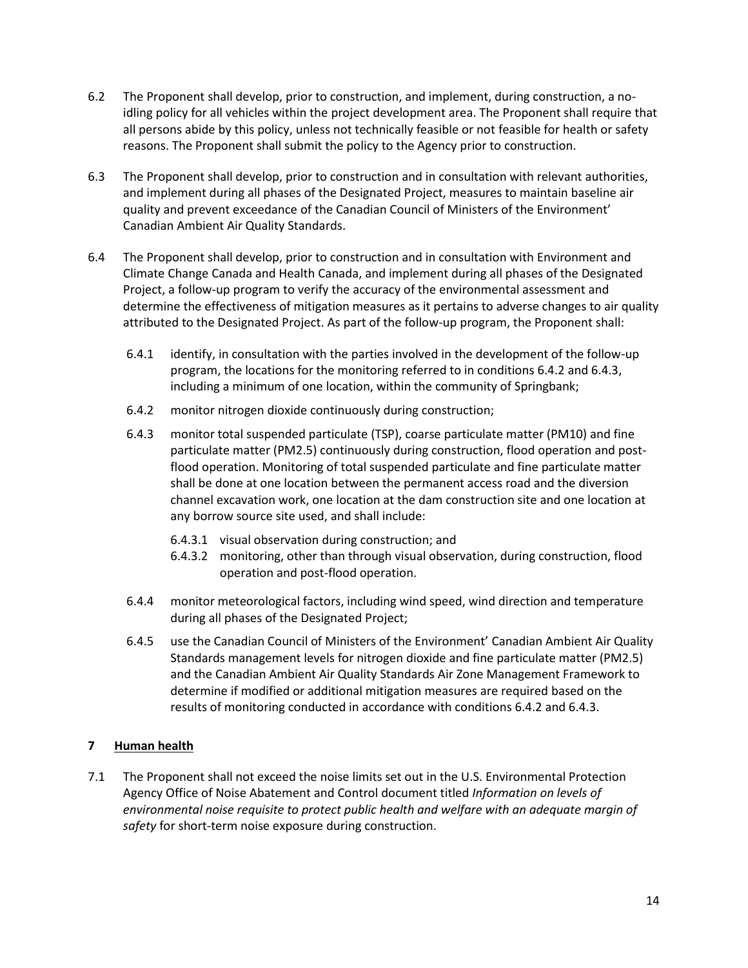- 6.2 The Proponent shall develop, prior to construction, and implement, during construction, a noidling policy for all vehicles within the project development area. The Proponent shall require that all persons abide by this policy, unless not technically feasible or not feasible for health or safety reasons. The Proponent shall submit the policy to the Agency prior to construction.
- 6.3 The Proponent shall develop, prior to construction and in consultation with relevant authorities, and implement during all phases of the Designated Project, measures to maintain baseline air quality and prevent exceedance of the Canadian Council of Ministers of the Environment' Canadian Ambient Air Quality Standards.
- 6.4 The Proponent shall develop, prior to construction and in consultation with Environment and Climate Change Canada and Health Canada, and implement during all phases of the Designated Project, a follow-up program to verify the accuracy of the environmental assessment and determine the effectiveness of mitigation measures as it pertains to adverse changes to air quality attributed to the Designated Project. As part of the follow-up program, the Proponent shall:
	- 6.4.1 identify, in consultation with the parties involved in the development of the follow-up program, the locations for the monitoring referred to in conditions 6.4.2 and 6.4.3, including a minimum of one location, within the community of Springbank;
	- 6.4.2 monitor nitrogen dioxide continuously during construction;
	- 6.4.3 monitor total suspended particulate (TSP), coarse particulate matter (PM10) and fine particulate matter (PM2.5) continuously during construction, flood operation and postflood operation. Monitoring of total suspended particulate and fine particulate matter shall be done at one location between the permanent access road and the diversion channel excavation work, one location at the dam construction site and one location at any borrow source site used, and shall include:
		- 6.4.3.1 visual observation during construction; and
		- 6.4.3.2 monitoring, other than through visual observation, during construction, flood operation and post-flood operation.
	- 6.4.4 monitor meteorological factors, including wind speed, wind direction and temperature during all phases of the Designated Project;
	- 6.4.5 use the Canadian Council of Ministers of the Environment' Canadian Ambient Air Quality Standards management levels for nitrogen dioxide and fine particulate matter (PM2.5) and the Canadian Ambient Air Quality Standards Air Zone Management Framework to determine if modified or additional mitigation measures are required based on the results of monitoring conducted in accordance with conditions 6.4.2 and 6.4.3.

# **7 Human health**

7.1 The Proponent shall not exceed the noise limits set out in the U.S. Environmental Protection Agency Office of Noise Abatement and Control document titled *Information on levels of environmental noise requisite to protect public health and welfare with an adequate margin of safety* for short-term noise exposure during construction.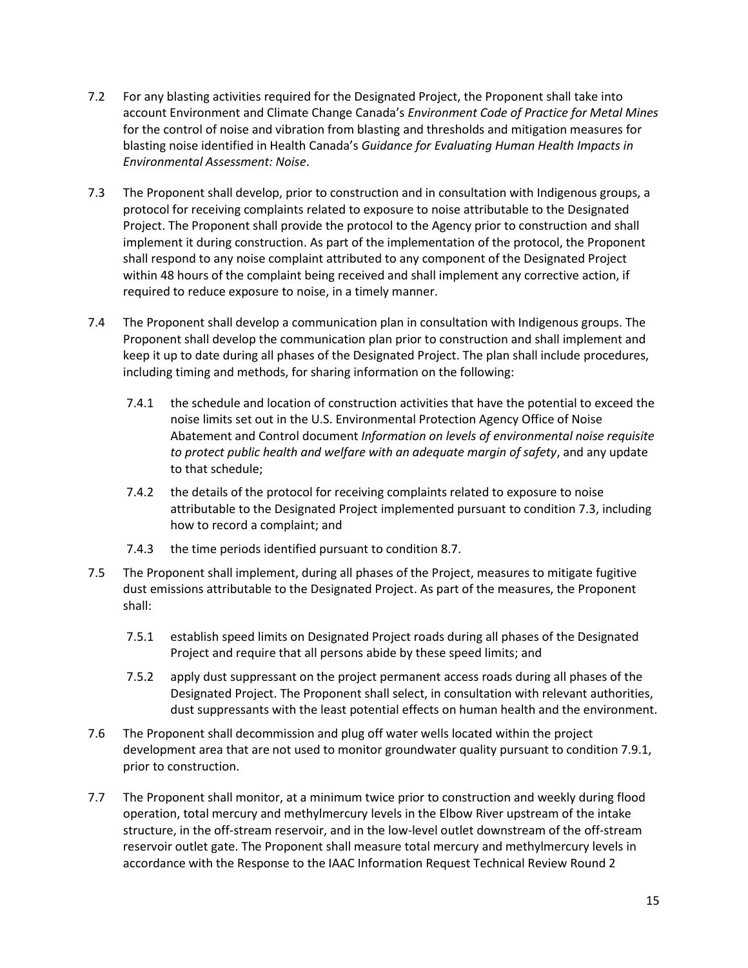- 7.2 For any blasting activities required for the Designated Project, the Proponent shall take into account Environment and Climate Change Canada's *Environment Code of Practice for Metal Mines* for the control of noise and vibration from blasting and thresholds and mitigation measures for blasting noise identified in Health Canada's *Guidance for Evaluating Human Health Impacts in Environmental Assessment: Noise*.
- 7.3 The Proponent shall develop, prior to construction and in consultation with Indigenous groups, a protocol for receiving complaints related to exposure to noise attributable to the Designated Project. The Proponent shall provide the protocol to the Agency prior to construction and shall implement it during construction. As part of the implementation of the protocol, the Proponent shall respond to any noise complaint attributed to any component of the Designated Project within 48 hours of the complaint being received and shall implement any corrective action, if required to reduce exposure to noise, in a timely manner.
- 7.4 The Proponent shall develop a communication plan in consultation with Indigenous groups. The Proponent shall develop the communication plan prior to construction and shall implement and keep it up to date during all phases of the Designated Project. The plan shall include procedures, including timing and methods, for sharing information on the following:
	- 7.4.1 the schedule and location of construction activities that have the potential to exceed the noise limits set out in the U.S. Environmental Protection Agency Office of Noise Abatement and Control document *Information on levels of environmental noise requisite to protect public health and welfare with an adequate margin of safety*, and any update to that schedule;
	- 7.4.2 the details of the protocol for receiving complaints related to exposure to noise attributable to the Designated Project implemented pursuant to condition 7.3, including how to record a complaint; and
	- 7.4.3 the time periods identified pursuant to condition 8.7.
- 7.5 The Proponent shall implement, during all phases of the Project, measures to mitigate fugitive dust emissions attributable to the Designated Project. As part of the measures, the Proponent shall:
	- 7.5.1 establish speed limits on Designated Project roads during all phases of the Designated Project and require that all persons abide by these speed limits; and
	- 7.5.2 apply dust suppressant on the project permanent access roads during all phases of the Designated Project. The Proponent shall select, in consultation with relevant authorities, dust suppressants with the least potential effects on human health and the environment.
- 7.6 The Proponent shall decommission and plug off water wells located within the project development area that are not used to monitor groundwater quality pursuant to condition 7.9.1, prior to construction.
- 7.7 The Proponent shall monitor, at a minimum twice prior to construction and weekly during flood operation, total mercury and methylmercury levels in the Elbow River upstream of the intake structure, in the off-stream reservoir, and in the low-level outlet downstream of the off-stream reservoir outlet gate. The Proponent shall measure total mercury and methylmercury levels in accordance with the Response to the IAAC Information Request Technical Review Round 2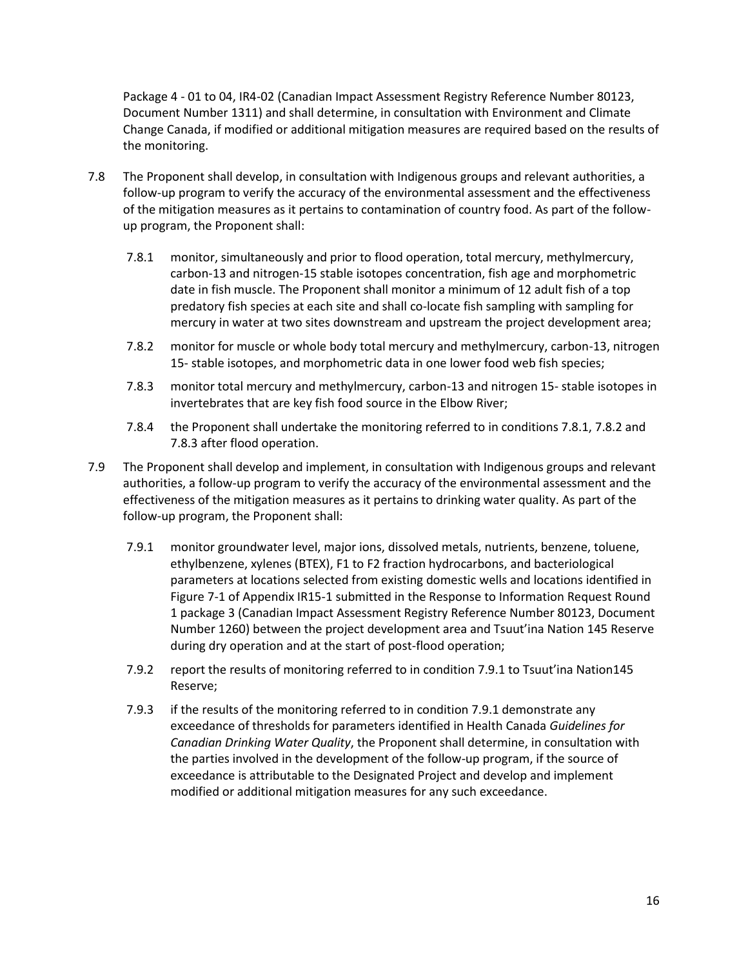Package 4 - 01 to 04, IR4-02 (Canadian Impact Assessment Registry Reference Number 80123, Document Number 1311) and shall determine, in consultation with Environment and Climate Change Canada, if modified or additional mitigation measures are required based on the results of the monitoring.

- 7.8 The Proponent shall develop, in consultation with Indigenous groups and relevant authorities, a follow-up program to verify the accuracy of the environmental assessment and the effectiveness of the mitigation measures as it pertains to contamination of country food. As part of the followup program, the Proponent shall:
	- 7.8.1 monitor, simultaneously and prior to flood operation, total mercury, methylmercury, carbon-13 and nitrogen-15 stable isotopes concentration, fish age and morphometric date in fish muscle. The Proponent shall monitor a minimum of 12 adult fish of a top predatory fish species at each site and shall co-locate fish sampling with sampling for mercury in water at two sites downstream and upstream the project development area;
	- 7.8.2 monitor for muscle or whole body total mercury and methylmercury, carbon-13, nitrogen 15- stable isotopes, and morphometric data in one lower food web fish species;
	- 7.8.3 monitor total mercury and methylmercury, carbon-13 and nitrogen 15- stable isotopes in invertebrates that are key fish food source in the Elbow River;
	- 7.8.4 the Proponent shall undertake the monitoring referred to in conditions 7.8.1, 7.8.2 and 7.8.3 after flood operation.
- 7.9 The Proponent shall develop and implement, in consultation with Indigenous groups and relevant authorities, a follow-up program to verify the accuracy of the environmental assessment and the effectiveness of the mitigation measures as it pertains to drinking water quality. As part of the follow-up program, the Proponent shall:
	- 7.9.1 monitor groundwater level, major ions, dissolved metals, nutrients, benzene, toluene, ethylbenzene, xylenes (BTEX), F1 to F2 fraction hydrocarbons, and bacteriological parameters at locations selected from existing domestic wells and locations identified in Figure 7-1 of Appendix IR15-1 submitted in the Response to Information Request Round 1 package 3 (Canadian Impact Assessment Registry Reference Number 80123, Document Number 1260) between the project development area and Tsuut'ina Nation 145 Reserve during dry operation and at the start of post-flood operation;
	- 7.9.2 report the results of monitoring referred to in condition 7.9.1 to Tsuut'ina Nation145 Reserve;
	- 7.9.3 if the results of the monitoring referred to in condition 7.9.1 demonstrate any exceedance of thresholds for parameters identified in Health Canada *Guidelines for Canadian Drinking Water Quality*, the Proponent shall determine, in consultation with the parties involved in the development of the follow-up program, if the source of exceedance is attributable to the Designated Project and develop and implement modified or additional mitigation measures for any such exceedance.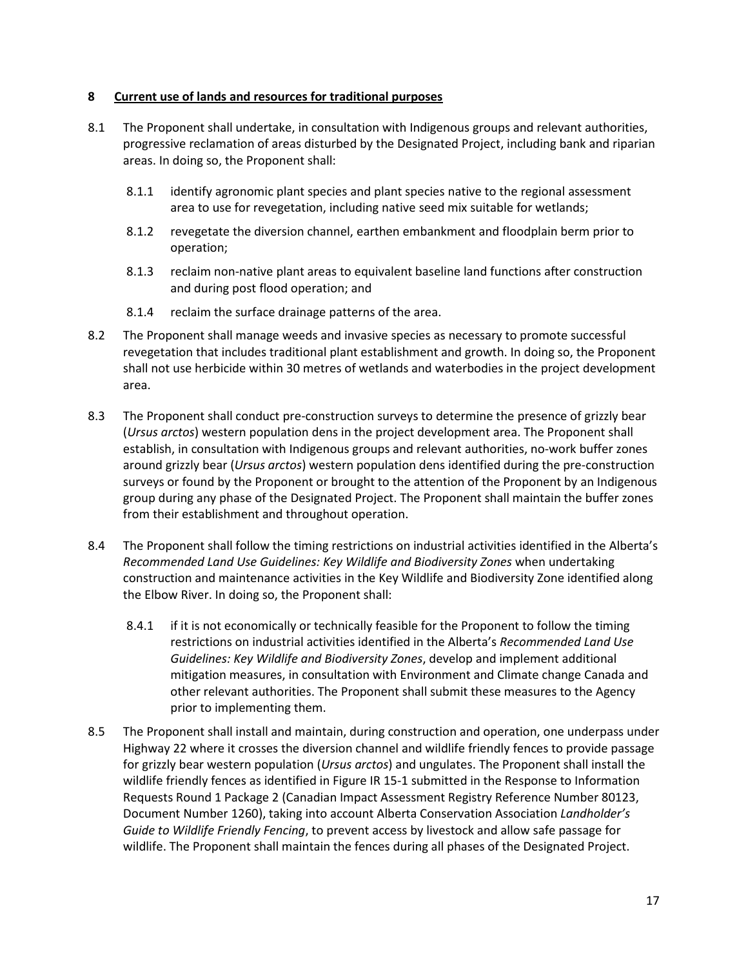### **8 Current use of lands and resources for traditional purposes**

- 8.1 The Proponent shall undertake, in consultation with Indigenous groups and relevant authorities, progressive reclamation of areas disturbed by the Designated Project, including bank and riparian areas. In doing so, the Proponent shall:
	- 8.1.1 identify agronomic plant species and plant species native to the regional assessment area to use for revegetation, including native seed mix suitable for wetlands;
	- 8.1.2 revegetate the diversion channel, earthen embankment and floodplain berm prior to operation;
	- 8.1.3 reclaim non-native plant areas to equivalent baseline land functions after construction and during post flood operation; and
	- 8.1.4 reclaim the surface drainage patterns of the area.
- 8.2 The Proponent shall manage weeds and invasive species as necessary to promote successful revegetation that includes traditional plant establishment and growth. In doing so, the Proponent shall not use herbicide within 30 metres of wetlands and waterbodies in the project development area.
- 8.3 The Proponent shall conduct pre-construction surveys to determine the presence of grizzly bear (*Ursus arctos*) western population dens in the project development area. The Proponent shall establish, in consultation with Indigenous groups and relevant authorities, no-work buffer zones around grizzly bear (*Ursus arctos*) western population dens identified during the pre-construction surveys or found by the Proponent or brought to the attention of the Proponent by an Indigenous group during any phase of the Designated Project. The Proponent shall maintain the buffer zones from their establishment and throughout operation.
- 8.4 The Proponent shall follow the timing restrictions on industrial activities identified in the Alberta's *Recommended Land Use Guidelines: Key Wildlife and Biodiversity Zones* when undertaking construction and maintenance activities in the Key Wildlife and Biodiversity Zone identified along the Elbow River. In doing so, the Proponent shall:
	- 8.4.1 if it is not economically or technically feasible for the Proponent to follow the timing restrictions on industrial activities identified in the Alberta's *Recommended Land Use Guidelines: Key Wildlife and Biodiversity Zones*, develop and implement additional mitigation measures, in consultation with Environment and Climate change Canada and other relevant authorities. The Proponent shall submit these measures to the Agency prior to implementing them.
- 8.5 The Proponent shall install and maintain, during construction and operation, one underpass under Highway 22 where it crosses the diversion channel and wildlife friendly fences to provide passage for grizzly bear western population (*Ursus arctos*) and ungulates. The Proponent shall install the wildlife friendly fences as identified in Figure IR 15-1 submitted in the Response to Information Requests Round 1 Package 2 (Canadian Impact Assessment Registry Reference Number 80123, Document Number 1260), taking into account Alberta Conservation Association *Landholder's Guide to Wildlife Friendly Fencing*, to prevent access by livestock and allow safe passage for wildlife. The Proponent shall maintain the fences during all phases of the Designated Project.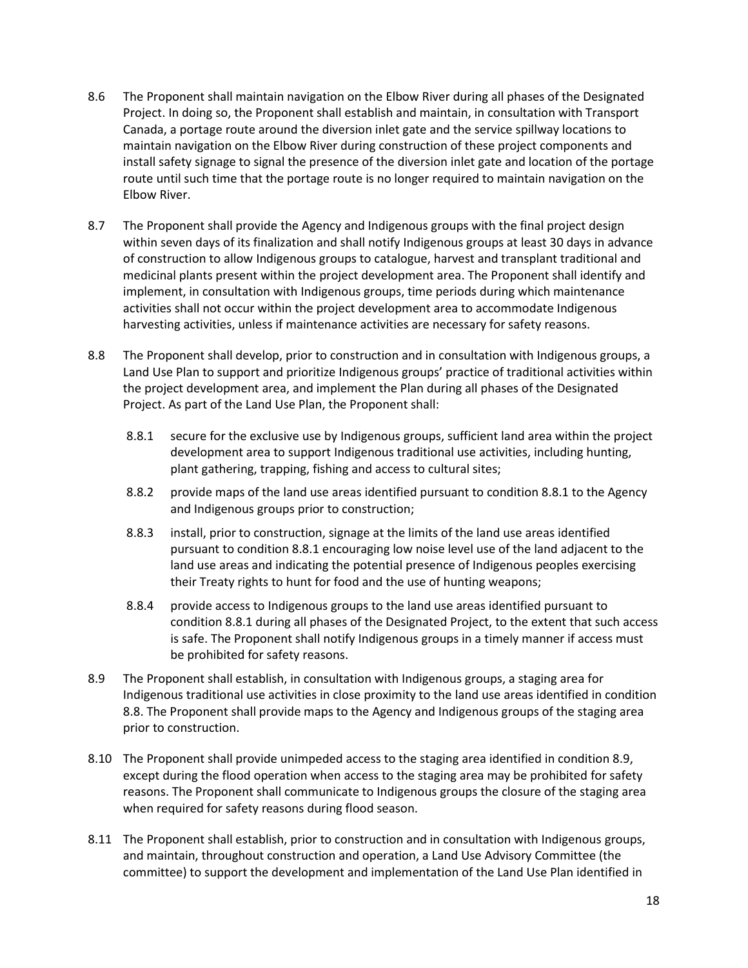- 8.6 The Proponent shall maintain navigation on the Elbow River during all phases of the Designated Project. In doing so, the Proponent shall establish and maintain, in consultation with Transport Canada, a portage route around the diversion inlet gate and the service spillway locations to maintain navigation on the Elbow River during construction of these project components and install safety signage to signal the presence of the diversion inlet gate and location of the portage route until such time that the portage route is no longer required to maintain navigation on the Elbow River.
- 8.7 The Proponent shall provide the Agency and Indigenous groups with the final project design within seven days of its finalization and shall notify Indigenous groups at least 30 days in advance of construction to allow Indigenous groups to catalogue, harvest and transplant traditional and medicinal plants present within the project development area. The Proponent shall identify and implement, in consultation with Indigenous groups, time periods during which maintenance activities shall not occur within the project development area to accommodate Indigenous harvesting activities, unless if maintenance activities are necessary for safety reasons.
- 8.8 The Proponent shall develop, prior to construction and in consultation with Indigenous groups, a Land Use Plan to support and prioritize Indigenous groups' practice of traditional activities within the project development area, and implement the Plan during all phases of the Designated Project. As part of the Land Use Plan, the Proponent shall:
	- 8.8.1 secure for the exclusive use by Indigenous groups, sufficient land area within the project development area to support Indigenous traditional use activities, including hunting, plant gathering, trapping, fishing and access to cultural sites;
	- 8.8.2 provide maps of the land use areas identified pursuant to condition 8.8.1 to the Agency and Indigenous groups prior to construction;
	- 8.8.3 install, prior to construction, signage at the limits of the land use areas identified pursuant to condition 8.8.1 encouraging low noise level use of the land adjacent to the land use areas and indicating the potential presence of Indigenous peoples exercising their Treaty rights to hunt for food and the use of hunting weapons;
	- 8.8.4 provide access to Indigenous groups to the land use areas identified pursuant to condition 8.8.1 during all phases of the Designated Project, to the extent that such access is safe. The Proponent shall notify Indigenous groups in a timely manner if access must be prohibited for safety reasons.
- 8.9 The Proponent shall establish, in consultation with Indigenous groups, a staging area for Indigenous traditional use activities in close proximity to the land use areas identified in condition 8.8. The Proponent shall provide maps to the Agency and Indigenous groups of the staging area prior to construction.
- 8.10 The Proponent shall provide unimpeded access to the staging area identified in condition 8.9, except during the flood operation when access to the staging area may be prohibited for safety reasons. The Proponent shall communicate to Indigenous groups the closure of the staging area when required for safety reasons during flood season.
- 8.11 The Proponent shall establish, prior to construction and in consultation with Indigenous groups, and maintain, throughout construction and operation, a Land Use Advisory Committee (the committee) to support the development and implementation of the Land Use Plan identified in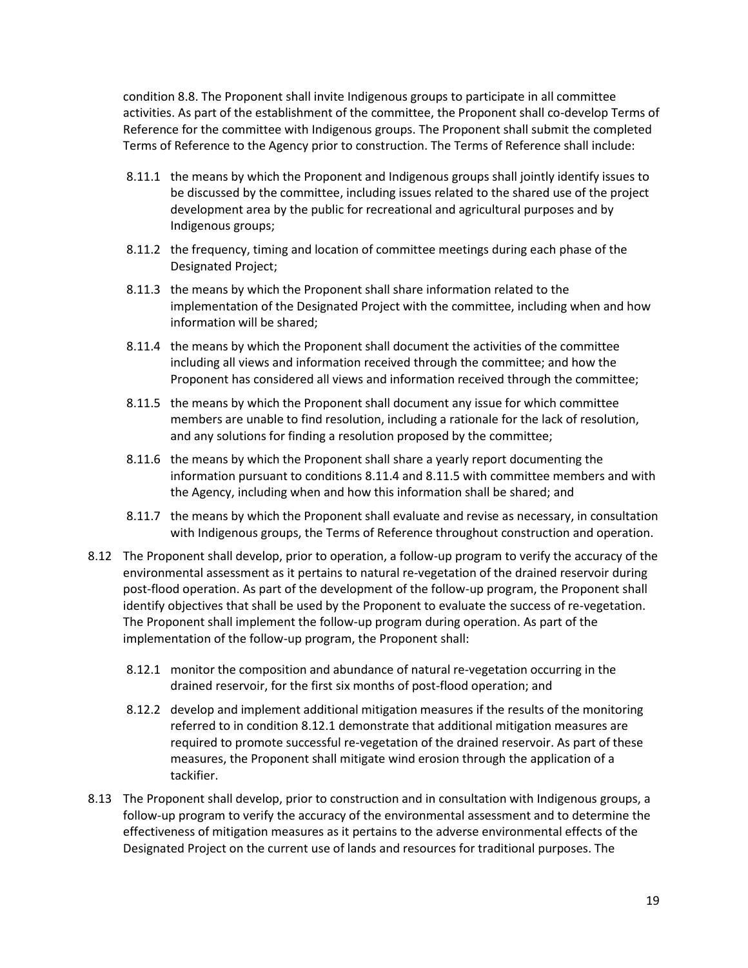condition 8.8. The Proponent shall invite Indigenous groups to participate in all committee activities. As part of the establishment of the committee, the Proponent shall co-develop Terms of Reference for the committee with Indigenous groups. The Proponent shall submit the completed Terms of Reference to the Agency prior to construction. The Terms of Reference shall include:

- 8.11.1 the means by which the Proponent and Indigenous groups shall jointly identify issues to be discussed by the committee, including issues related to the shared use of the project development area by the public for recreational and agricultural purposes and by Indigenous groups;
- 8.11.2 the frequency, timing and location of committee meetings during each phase of the Designated Project;
- 8.11.3 the means by which the Proponent shall share information related to the implementation of the Designated Project with the committee, including when and how information will be shared;
- 8.11.4 the means by which the Proponent shall document the activities of the committee including all views and information received through the committee; and how the Proponent has considered all views and information received through the committee;
- 8.11.5 the means by which the Proponent shall document any issue for which committee members are unable to find resolution, including a rationale for the lack of resolution, and any solutions for finding a resolution proposed by the committee;
- 8.11.6 the means by which the Proponent shall share a yearly report documenting the information pursuant to conditions 8.11.4 and 8.11.5 with committee members and with the Agency, including when and how this information shall be shared; and
- 8.11.7 the means by which the Proponent shall evaluate and revise as necessary, in consultation with Indigenous groups, the Terms of Reference throughout construction and operation.
- 8.12 The Proponent shall develop, prior to operation, a follow-up program to verify the accuracy of the environmental assessment as it pertains to natural re-vegetation of the drained reservoir during post-flood operation. As part of the development of the follow-up program, the Proponent shall identify objectives that shall be used by the Proponent to evaluate the success of re-vegetation. The Proponent shall implement the follow-up program during operation. As part of the implementation of the follow-up program, the Proponent shall:
	- 8.12.1 monitor the composition and abundance of natural re-vegetation occurring in the drained reservoir, for the first six months of post-flood operation; and
	- 8.12.2 develop and implement additional mitigation measures if the results of the monitoring referred to in condition 8.12.1 demonstrate that additional mitigation measures are required to promote successful re-vegetation of the drained reservoir. As part of these measures, the Proponent shall mitigate wind erosion through the application of a tackifier.
- 8.13 The Proponent shall develop, prior to construction and in consultation with Indigenous groups, a follow-up program to verify the accuracy of the environmental assessment and to determine the effectiveness of mitigation measures as it pertains to the adverse environmental effects of the Designated Project on the current use of lands and resources for traditional purposes. The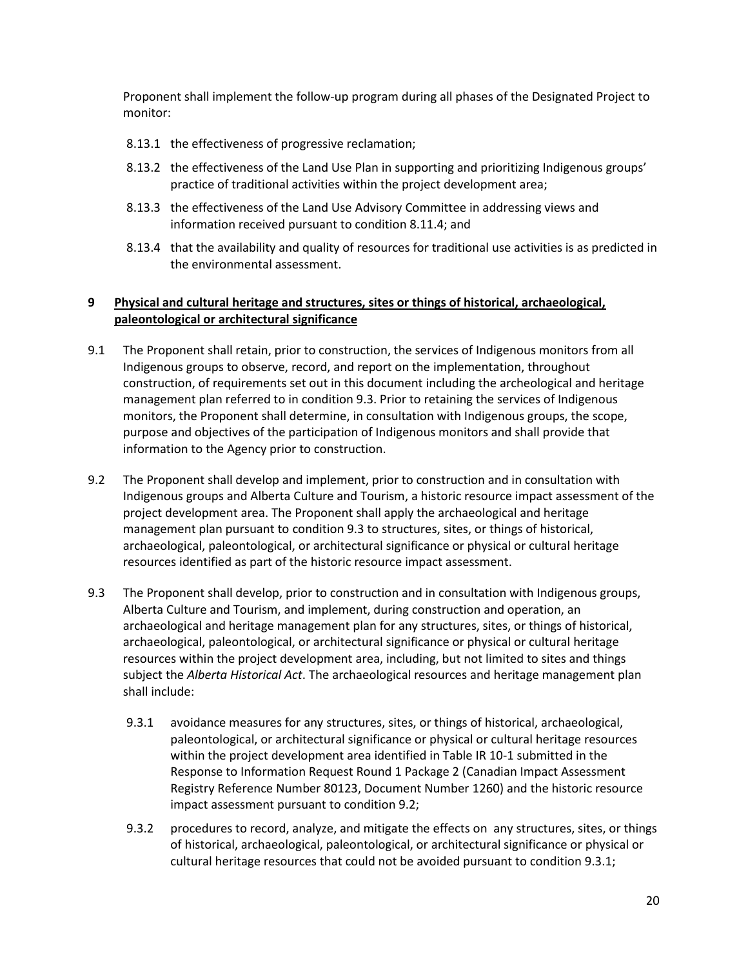Proponent shall implement the follow-up program during all phases of the Designated Project to monitor:

- 8.13.1 the effectiveness of progressive reclamation;
- 8.13.2 the effectiveness of the Land Use Plan in supporting and prioritizing Indigenous groups' practice of traditional activities within the project development area;
- 8.13.3 the effectiveness of the Land Use Advisory Committee in addressing views and information received pursuant to condition 8.11.4; and
- 8.13.4 that the availability and quality of resources for traditional use activities is as predicted in the environmental assessment.

# **9 Physical and cultural heritage and structures, sites or things of historical, archaeological, paleontological or architectural significance**

- 9.1 The Proponent shall retain, prior to construction, the services of Indigenous monitors from all Indigenous groups to observe, record, and report on the implementation, throughout construction, of requirements set out in this document including the archeological and heritage management plan referred to in condition 9.3. Prior to retaining the services of Indigenous monitors, the Proponent shall determine, in consultation with Indigenous groups, the scope, purpose and objectives of the participation of Indigenous monitors and shall provide that information to the Agency prior to construction.
- 9.2 The Proponent shall develop and implement, prior to construction and in consultation with Indigenous groups and Alberta Culture and Tourism, a historic resource impact assessment of the project development area. The Proponent shall apply the archaeological and heritage management plan pursuant to condition 9.3 to structures, sites, or things of historical, archaeological, paleontological, or architectural significance or physical or cultural heritage resources identified as part of the historic resource impact assessment.
- 9.3 The Proponent shall develop, prior to construction and in consultation with Indigenous groups, Alberta Culture and Tourism, and implement, during construction and operation, an archaeological and heritage management plan for any structures, sites, or things of historical, archaeological, paleontological, or architectural significance or physical or cultural heritage resources within the project development area, including, but not limited to sites and things subject the *Alberta Historical Act*. The archaeological resources and heritage management plan shall include:
	- 9.3.1 avoidance measures for any structures, sites, or things of historical, archaeological, paleontological, or architectural significance or physical or cultural heritage resources within the project development area identified in Table IR 10-1 submitted in the Response to Information Request Round 1 Package 2 (Canadian Impact Assessment Registry Reference Number 80123, Document Number 1260) and the historic resource impact assessment pursuant to condition 9.2;
	- 9.3.2 procedures to record, analyze, and mitigate the effects on any structures, sites, or things of historical, archaeological, paleontological, or architectural significance or physical or cultural heritage resources that could not be avoided pursuant to condition 9.3.1;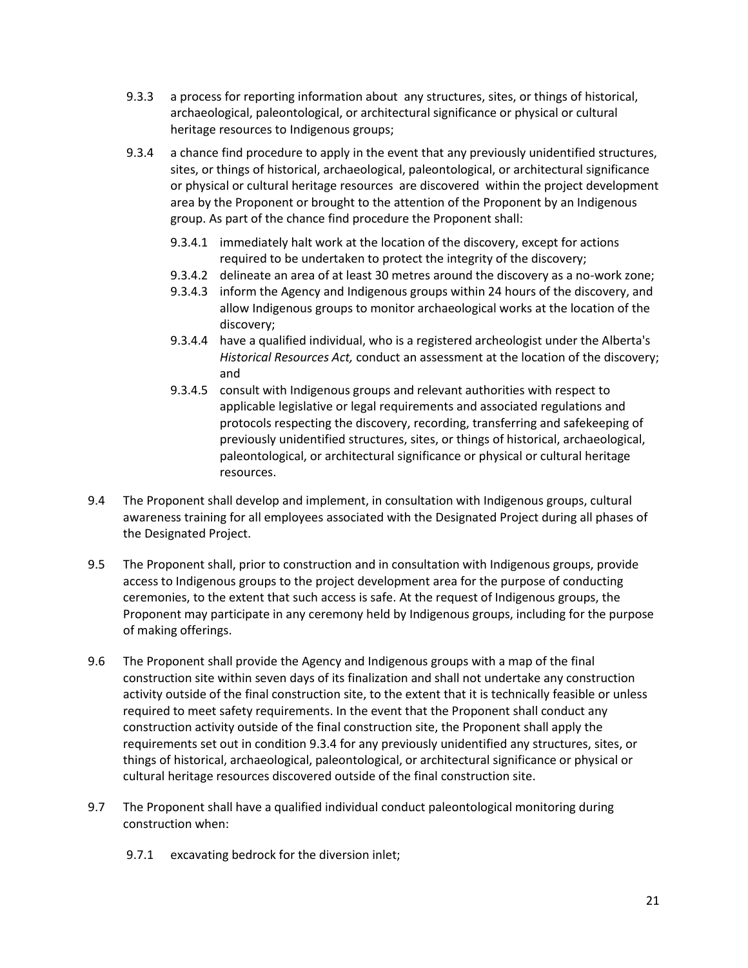- 9.3.3 a process for reporting information about any structures, sites, or things of historical, archaeological, paleontological, or architectural significance or physical or cultural heritage resources to Indigenous groups;
- 9.3.4 a chance find procedure to apply in the event that any previously unidentified structures, sites, or things of historical, archaeological, paleontological, or architectural significance or physical or cultural heritage resources are discovered within the project development area by the Proponent or brought to the attention of the Proponent by an Indigenous group. As part of the chance find procedure the Proponent shall:
	- 9.3.4.1 immediately halt work at the location of the discovery, except for actions required to be undertaken to protect the integrity of the discovery;
	- 9.3.4.2 delineate an area of at least 30 metres around the discovery as a no-work zone;
	- 9.3.4.3 inform the Agency and Indigenous groups within 24 hours of the discovery, and allow Indigenous groups to monitor archaeological works at the location of the discovery;
	- 9.3.4.4 have a qualified individual, who is a registered archeologist under the Alberta's *Historical Resources Act,* conduct an assessment at the location of the discovery; and
	- 9.3.4.5 consult with Indigenous groups and relevant authorities with respect to applicable legislative or legal requirements and associated regulations and protocols respecting the discovery, recording, transferring and safekeeping of previously unidentified structures, sites, or things of historical, archaeological, paleontological, or architectural significance or physical or cultural heritage resources.
- 9.4 The Proponent shall develop and implement, in consultation with Indigenous groups, cultural awareness training for all employees associated with the Designated Project during all phases of the Designated Project.
- 9.5 The Proponent shall, prior to construction and in consultation with Indigenous groups, provide access to Indigenous groups to the project development area for the purpose of conducting ceremonies, to the extent that such access is safe. At the request of Indigenous groups, the Proponent may participate in any ceremony held by Indigenous groups, including for the purpose of making offerings.
- 9.6 The Proponent shall provide the Agency and Indigenous groups with a map of the final construction site within seven days of its finalization and shall not undertake any construction activity outside of the final construction site, to the extent that it is technically feasible or unless required to meet safety requirements. In the event that the Proponent shall conduct any construction activity outside of the final construction site, the Proponent shall apply the requirements set out in condition 9.3.4 for any previously unidentified any structures, sites, or things of historical, archaeological, paleontological, or architectural significance or physical or cultural heritage resources discovered outside of the final construction site.
- 9.7 The Proponent shall have a qualified individual conduct paleontological monitoring during construction when:
	- 9.7.1 excavating bedrock for the diversion inlet;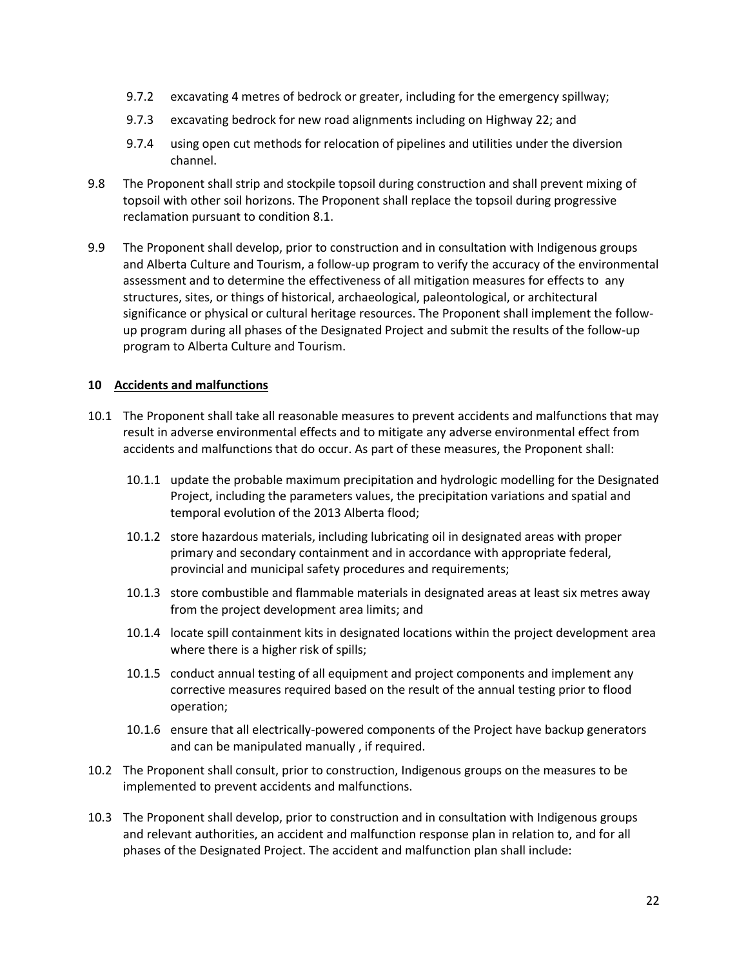- 9.7.2 excavating 4 metres of bedrock or greater, including for the emergency spillway;
- 9.7.3 excavating bedrock for new road alignments including on Highway 22; and
- 9.7.4 using open cut methods for relocation of pipelines and utilities under the diversion channel.
- 9.8 The Proponent shall strip and stockpile topsoil during construction and shall prevent mixing of topsoil with other soil horizons. The Proponent shall replace the topsoil during progressive reclamation pursuant to condition 8.1.
- 9.9 The Proponent shall develop, prior to construction and in consultation with Indigenous groups and Alberta Culture and Tourism, a follow-up program to verify the accuracy of the environmental assessment and to determine the effectiveness of all mitigation measures for effects to any structures, sites, or things of historical, archaeological, paleontological, or architectural significance or physical or cultural heritage resources. The Proponent shall implement the followup program during all phases of the Designated Project and submit the results of the follow-up program to Alberta Culture and Tourism.

### **10 Accidents and malfunctions**

- 10.1 The Proponent shall take all reasonable measures to prevent accidents and malfunctions that may result in adverse environmental effects and to mitigate any adverse environmental effect from accidents and malfunctions that do occur. As part of these measures, the Proponent shall:
	- 10.1.1 update the probable maximum precipitation and hydrologic modelling for the Designated Project, including the parameters values, the precipitation variations and spatial and temporal evolution of the 2013 Alberta flood;
	- 10.1.2 store hazardous materials, including lubricating oil in designated areas with proper primary and secondary containment and in accordance with appropriate federal, provincial and municipal safety procedures and requirements;
	- 10.1.3 store combustible and flammable materials in designated areas at least six metres away from the project development area limits; and
	- 10.1.4 locate spill containment kits in designated locations within the project development area where there is a higher risk of spills;
	- 10.1.5 conduct annual testing of all equipment and project components and implement any corrective measures required based on the result of the annual testing prior to flood operation;
	- 10.1.6 ensure that all electrically-powered components of the Project have backup generators and can be manipulated manually , if required.
- 10.2 The Proponent shall consult, prior to construction, Indigenous groups on the measures to be implemented to prevent accidents and malfunctions.
- 10.3 The Proponent shall develop, prior to construction and in consultation with Indigenous groups and relevant authorities, an accident and malfunction response plan in relation to, and for all phases of the Designated Project. The accident and malfunction plan shall include: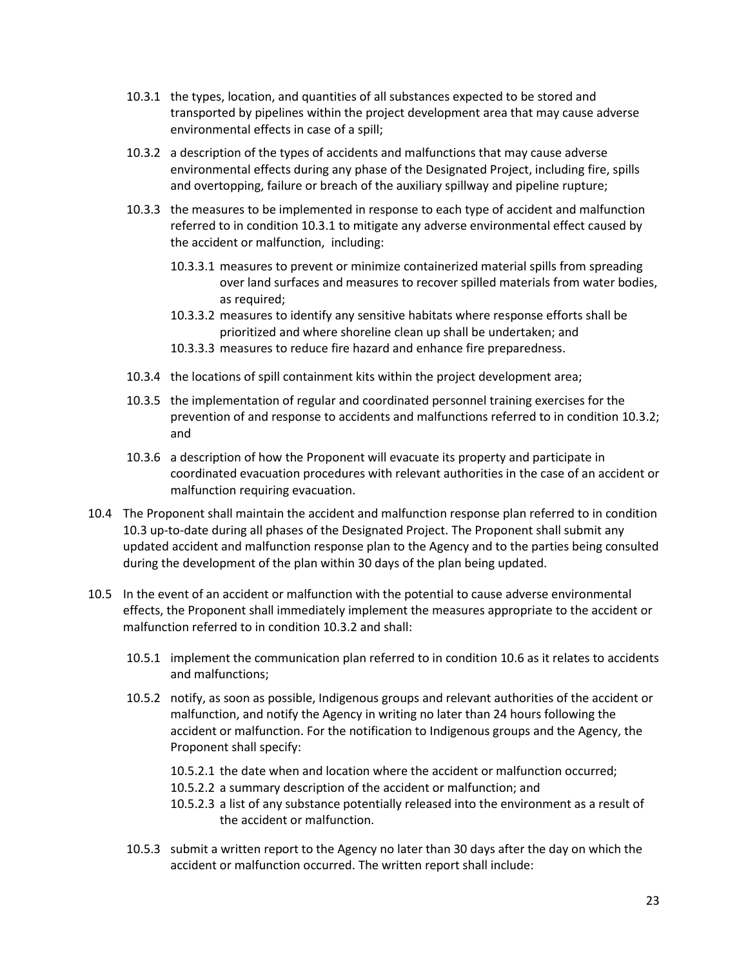- 10.3.1 the types, location, and quantities of all substances expected to be stored and transported by pipelines within the project development area that may cause adverse environmental effects in case of a spill;
- 10.3.2 a description of the types of accidents and malfunctions that may cause adverse environmental effects during any phase of the Designated Project, including fire, spills and overtopping, failure or breach of the auxiliary spillway and pipeline rupture;
- 10.3.3 the measures to be implemented in response to each type of accident and malfunction referred to in condition 10.3.1 to mitigate any adverse environmental effect caused by the accident or malfunction, including:
	- 10.3.3.1 measures to prevent or minimize containerized material spills from spreading over land surfaces and measures to recover spilled materials from water bodies, as required;
	- 10.3.3.2 measures to identify any sensitive habitats where response efforts shall be prioritized and where shoreline clean up shall be undertaken; and
	- 10.3.3.3 measures to reduce fire hazard and enhance fire preparedness.
- 10.3.4 the locations of spill containment kits within the project development area;
- 10.3.5 the implementation of regular and coordinated personnel training exercises for the prevention of and response to accidents and malfunctions referred to in condition 10.3.2; and
- 10.3.6 a description of how the Proponent will evacuate its property and participate in coordinated evacuation procedures with relevant authorities in the case of an accident or malfunction requiring evacuation.
- 10.4 The Proponent shall maintain the accident and malfunction response plan referred to in condition 10.3 up-to-date during all phases of the Designated Project. The Proponent shall submit any updated accident and malfunction response plan to the Agency and to the parties being consulted during the development of the plan within 30 days of the plan being updated.
- 10.5 In the event of an accident or malfunction with the potential to cause adverse environmental effects, the Proponent shall immediately implement the measures appropriate to the accident or malfunction referred to in condition 10.3.2 and shall:
	- 10.5.1 implement the communication plan referred to in condition 10.6 as it relates to accidents and malfunctions;
	- 10.5.2 notify, as soon as possible, Indigenous groups and relevant authorities of the accident or malfunction, and notify the Agency in writing no later than 24 hours following the accident or malfunction. For the notification to Indigenous groups and the Agency, the Proponent shall specify:
		- 10.5.2.1 the date when and location where the accident or malfunction occurred;
		- 10.5.2.2 a summary description of the accident or malfunction; and
		- 10.5.2.3 a list of any substance potentially released into the environment as a result of the accident or malfunction.
	- 10.5.3 submit a written report to the Agency no later than 30 days after the day on which the accident or malfunction occurred. The written report shall include: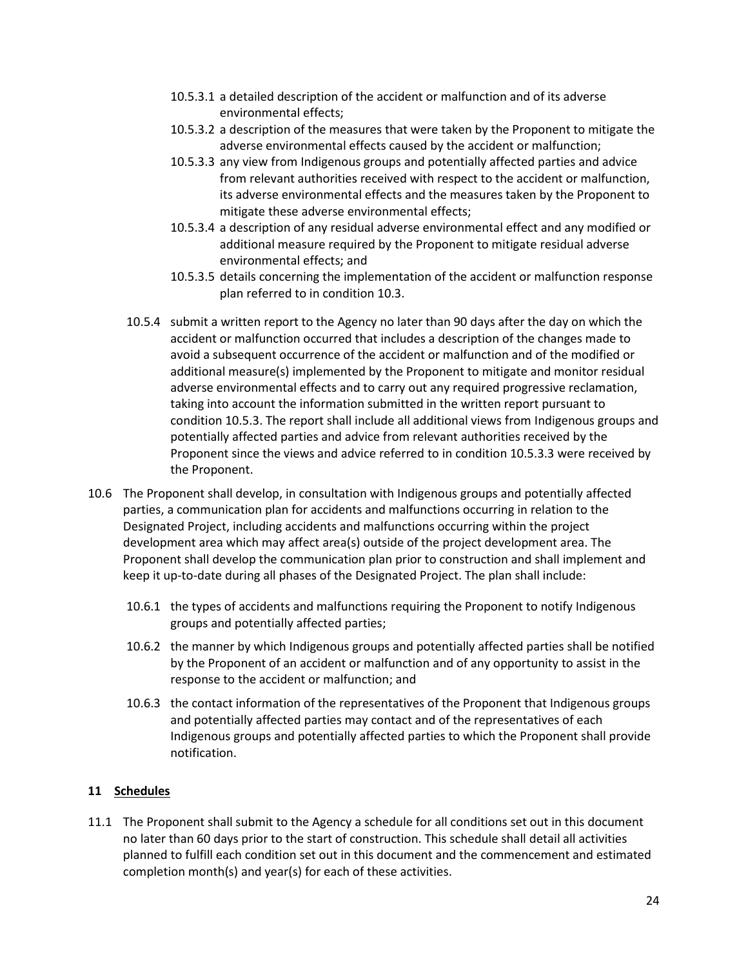- 10.5.3.1 a detailed description of the accident or malfunction and of its adverse environmental effects;
- 10.5.3.2 a description of the measures that were taken by the Proponent to mitigate the adverse environmental effects caused by the accident or malfunction;
- 10.5.3.3 any view from Indigenous groups and potentially affected parties and advice from relevant authorities received with respect to the accident or malfunction, its adverse environmental effects and the measures taken by the Proponent to mitigate these adverse environmental effects;
- 10.5.3.4 a description of any residual adverse environmental effect and any modified or additional measure required by the Proponent to mitigate residual adverse environmental effects; and
- 10.5.3.5 details concerning the implementation of the accident or malfunction response plan referred to in condition 10.3.
- 10.5.4 submit a written report to the Agency no later than 90 days after the day on which the accident or malfunction occurred that includes a description of the changes made to avoid a subsequent occurrence of the accident or malfunction and of the modified or additional measure(s) implemented by the Proponent to mitigate and monitor residual adverse environmental effects and to carry out any required progressive reclamation, taking into account the information submitted in the written report pursuant to condition 10.5.3. The report shall include all additional views from Indigenous groups and potentially affected parties and advice from relevant authorities received by the Proponent since the views and advice referred to in condition 10.5.3.3 were received by the Proponent.
- 10.6 The Proponent shall develop, in consultation with Indigenous groups and potentially affected parties, a communication plan for accidents and malfunctions occurring in relation to the Designated Project, including accidents and malfunctions occurring within the project development area which may affect area(s) outside of the project development area. The Proponent shall develop the communication plan prior to construction and shall implement and keep it up-to-date during all phases of the Designated Project. The plan shall include:
	- 10.6.1 the types of accidents and malfunctions requiring the Proponent to notify Indigenous groups and potentially affected parties;
	- 10.6.2 the manner by which Indigenous groups and potentially affected parties shall be notified by the Proponent of an accident or malfunction and of any opportunity to assist in the response to the accident or malfunction; and
	- 10.6.3 the contact information of the representatives of the Proponent that Indigenous groups and potentially affected parties may contact and of the representatives of each Indigenous groups and potentially affected parties to which the Proponent shall provide notification.

# **11 Schedules**

11.1 The Proponent shall submit to the Agency a schedule for all conditions set out in this document no later than 60 days prior to the start of construction. This schedule shall detail all activities planned to fulfill each condition set out in this document and the commencement and estimated completion month(s) and year(s) for each of these activities.